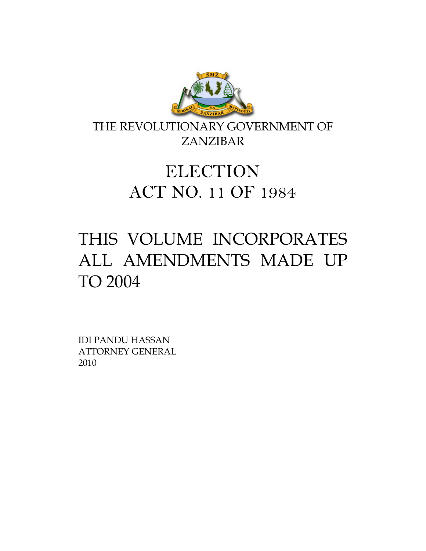

THE REVOLUTIONARY GOVERNMENT OF ZANZIBAR

# **ELECTION** ACT NO. 11 OF 1984

# THIS VOLUME INCORPORATES ALL AMENDMENTS MADE UP TO 2004

IDI PANDU HASSAN ATTORNEY GENERAL 2010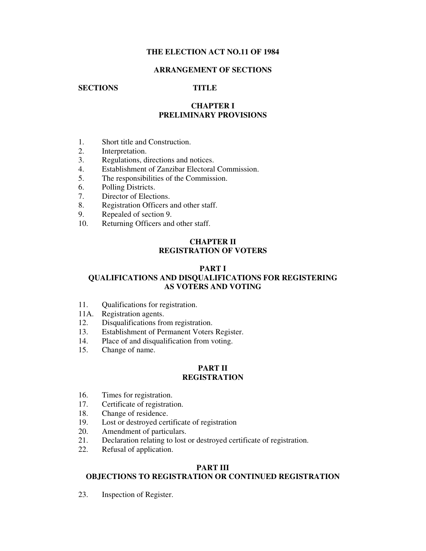# **THE ELECTION ACT NO.11 OF 1984**

# **ARRANGEMENT OF SECTIONS**

# **SECTIONS TITLE**

# **CHAPTER I PRELIMINARY PROVISIONS**

- 1. Short title and Construction.
- 2. Interpretation.
- 3. Regulations, directions and notices.
- 4. Establishment of Zanzibar Electoral Commission.
- 5. The responsibilities of the Commission.
- 6. Polling Districts.
- 7. Director of Elections.
- 8. Registration Officers and other staff.
- 9. Repealed of section 9.
- 10. Returning Officers and other staff.

# **CHAPTER II REGISTRATION OF VOTERS**

#### **PART I**

# **QUALIFICATIONS AND DISQUALIFICATIONS FOR REGISTERING AS VOTERS AND VOTING**

- 11. Qualifications for registration.
- 11A. Registration agents.
- 12. Disqualifications from registration.
- 13. Establishment of Permanent Voters Register.
- 14. Place of and disqualification from voting.
- 15. Change of name.

# **PART II REGISTRATION**

- 16. Times for registration.
- 17. Certificate of registration.
- 18. Change of residence.
- 19. Lost or destroyed certificate of registration
- 20. Amendment of particulars.<br>21. Declaration relating to lost
- 21. Declaration relating to lost or destroyed certificate of registration.
- 22. Refusal of application.

# **PART III**

# **OBJECTIONS TO REGISTRATION OR CONTINUED REGISTRATION**

23. Inspection of Register.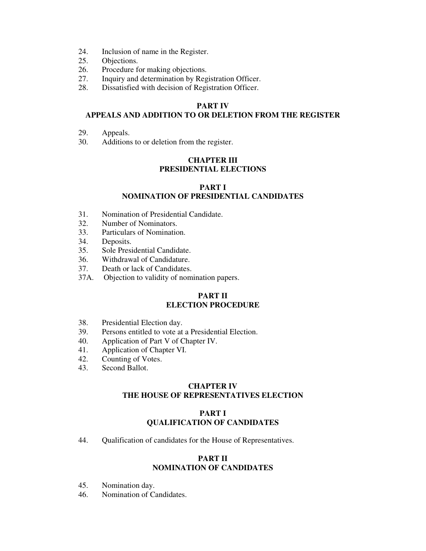- 24. Inclusion of name in the Register.
- 25. Objections.
- 26. Procedure for making objections.
- 27. Inquiry and determination by Registration Officer.
- 28. Dissatisfied with decision of Registration Officer.

# **PART IV**

# **APPEALS AND ADDITION TO OR DELETION FROM THE REGISTER**

- 29. Appeals.
- 30. Additions to or deletion from the register.

# **CHAPTER III PRESIDENTIAL ELECTIONS**

### **PART I NOMINATION OF PRESIDENTIAL CANDIDATES**

- 31. Nomination of Presidential Candidate.
- 32. Number of Nominators.
- 33. Particulars of Nomination.
- 34. Deposits.
- 35. Sole Presidential Candidate.
- 36. Withdrawal of Candidature.
- 37. Death or lack of Candidates.
- 37A. Objection to validity of nomination papers.

# **PART II ELECTION PROCEDURE**

- 38. Presidential Election day.
- 39. Persons entitled to vote at a Presidential Election.
- 40. Application of Part V of Chapter IV.
- 41. Application of Chapter VI.
- 42. Counting of Votes.
- 43. Second Ballot.

# **CHAPTER IV THE HOUSE OF REPRESENTATIVES ELECTION**

# **PART I QUALIFICATION OF CANDIDATES**

44. Qualification of candidates for the House of Representatives.

# **PART II NOMINATION OF CANDIDATES**

- 45. Nomination day.
- 46. Nomination of Candidates.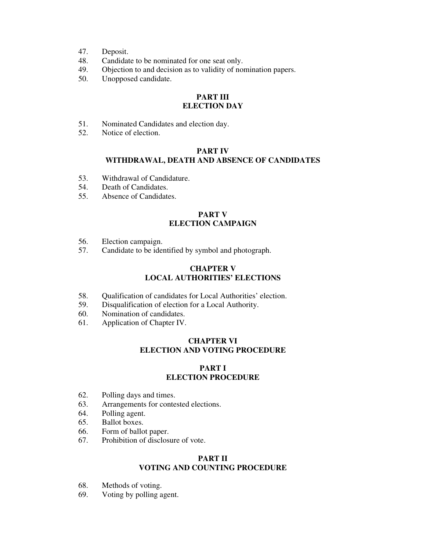- 47. Deposit.
- 48. Candidate to be nominated for one seat only.<br>49. Objection to and decision as to validity of nor
- Objection to and decision as to validity of nomination papers.
- 50. Unopposed candidate.

# **PART III ELECTION DAY**

- 51. Nominated Candidates and election day.<br>52. Notice of election.
- Notice of election.

# **PART IV WITHDRAWAL, DEATH AND ABSENCE OF CANDIDATES**

- 53. Withdrawal of Candidature.
- 54. Death of Candidates.
- 55. Absence of Candidates.

# **PART V ELECTION CAMPAIGN**

- 56. Election campaign.
- 57. Candidate to be identified by symbol and photograph.

# **CHAPTER V LOCAL AUTHORITIES' ELECTIONS**

- 58. Qualification of candidates for Local Authorities' election.
- 59. Disqualification of election for a Local Authority.
- 60. Nomination of candidates.
- 61. Application of Chapter IV.

# **CHAPTER VI ELECTION AND VOTING PROCEDURE**

# **PART I ELECTION PROCEDURE**

- 62. Polling days and times.
- 63. Arrangements for contested elections.
- 64. Polling agent.
- 65. Ballot boxes.
- 66. Form of ballot paper.
- 67. Prohibition of disclosure of vote.

# **PART II VOTING AND COUNTING PROCEDURE**

- 68. Methods of voting.
- 69. Voting by polling agent.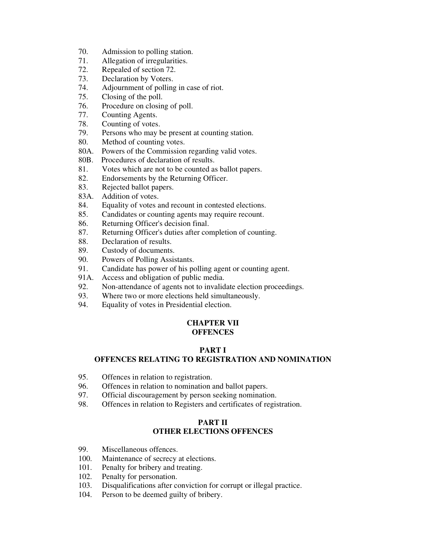- 70. Admission to polling station.
- 71. Allegation of irregularities.
- 72. Repealed of section 72.
- 73. Declaration by Voters.
- 74. Adjournment of polling in case of riot.
- 75. Closing of the poll.
- 76. Procedure on closing of poll.
- 77. Counting Agents.
- 78. Counting of votes.
- 79. Persons who may be present at counting station.
- 80. Method of counting votes.
- 80A. Powers of the Commission regarding valid votes.
- 80B. Procedures of declaration of results.
- 81. Votes which are not to be counted as ballot papers.
- 82. Endorsements by the Returning Officer.
- 83. Rejected ballot papers.
- 83A. Addition of votes.
- 84. Equality of votes and recount in contested elections.
- 85. Candidates or counting agents may require recount.
- 86. Returning Officer's decision final.
- 87. Returning Officer's duties after completion of counting.
- 88. Declaration of results.
- 89. Custody of documents.
- 90. Powers of Polling Assistants.
- 91. Candidate has power of his polling agent or counting agent.
- 91A. Access and obligation of public media.
- 92. Non-attendance of agents not to invalidate election proceedings.
- 93. Where two or more elections held simultaneously.
- 94. Equality of votes in Presidential election.

#### **CHAPTER VII OFFENCES**

# **PART I**

# **OFFENCES RELATING TO REGISTRATION AND NOMINATION**

- 95. Offences in relation to registration.
- 96. Offences in relation to nomination and ballot papers.
- 97. Official discouragement by person seeking nomination.
- 98. Offences in relation to Registers and certificates of registration.

# **PART II OTHER ELECTIONS OFFENCES**

- 99. Miscellaneous offences.
- 100. Maintenance of secrecy at elections.
- 101. Penalty for bribery and treating.
- 102. Penalty for personation.
- 103. Disqualifications after conviction for corrupt or illegal practice.<br>104. Person to be deemed guilty of bribery.
- Person to be deemed guilty of bribery.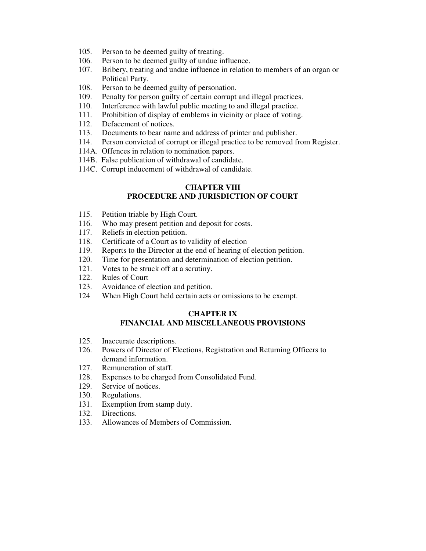- 105. Person to be deemed guilty of treating.
- 106. Person to be deemed guilty of undue influence.
- 107. Bribery, treating and undue influence in relation to members of an organ or Political Party.
- 108. Person to be deemed guilty of personation.
- 109. Penalty for person guilty of certain corrupt and illegal practices.
- 110. Interference with lawful public meeting to and illegal practice.
- 111. Prohibition of display of emblems in vicinity or place of voting.
- 112. Defacement of notices.
- 113. Documents to bear name and address of printer and publisher.
- 114. Person convicted of corrupt or illegal practice to be removed from Register.
- 114A. Offences in relation to nomination papers.
- 114B. False publication of withdrawal of candidate.
- 114C. Corrupt inducement of withdrawal of candidate.

# **CHAPTER VIII PROCEDURE AND JURISDICTION OF COURT**

- 115. Petition triable by High Court.
- 116. Who may present petition and deposit for costs.
- 117. Reliefs in election petition.
- 118. Certificate of a Court as to validity of election
- 119. Reports to the Director at the end of hearing of election petition.
- 120. Time for presentation and determination of election petition.
- 121. Votes to be struck off at a scrutiny.
- 122. Rules of Court
- 123. Avoidance of election and petition.
- 124 When High Court held certain acts or omissions to be exempt.

#### **CHAPTER IX FINANCIAL AND MISCELLANEOUS PROVISIONS**

- 125. Inaccurate descriptions.
- 126. Powers of Director of Elections, Registration and Returning Officers to demand information.
- 127. Remuneration of staff.
- 128. Expenses to be charged from Consolidated Fund.
- 129. Service of notices.
- 130. Regulations.
- 131. Exemption from stamp duty.
- 132. Directions.
- 133. Allowances of Members of Commission.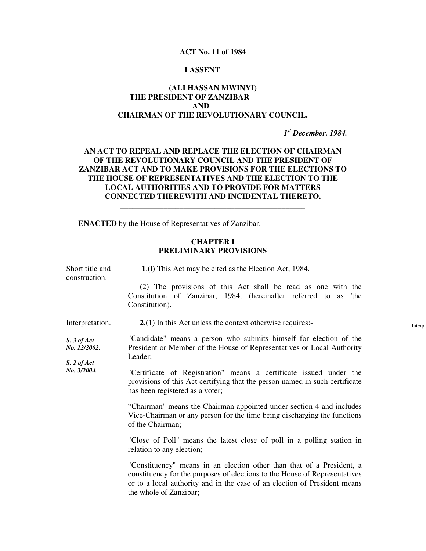#### **ACT No. 11 of 1984**

#### **I ASSENT**

# **(ALI HASSAN MWINYI) THE PRESIDENT OF ZANZIBAR AND CHAIRMAN OF THE REVOLUTIONARY COUNCIL.**

*1 st December. 1984.* 

# **AN ACT TO REPEAL AND REPLACE THE ELECTION OF CHAIRMAN OF THE REVOLUTIONARY COUNCIL AND THE PRESIDENT OF ZANZIBAR ACT AND TO MAKE PROVISIONS FOR THE ELECTIONS TO THE HOUSE OF REPRESENTATIVES AND THE ELECTION TO THE LOCAL AUTHORITIES AND TO PROVIDE FOR MATTERS CONNECTED THEREWITH AND INCIDENTAL THERETO.**

**\_\_\_\_\_\_\_\_\_\_\_\_\_\_\_\_\_\_\_\_\_\_\_\_\_\_\_\_\_\_\_\_\_\_\_\_\_\_\_\_\_\_\_\_\_\_\_** 

**ENACTED** by the House of Representatives of Zanzibar.

# **CHAPTER I PRELIMINARY PROVISIONS**

| Short title and<br>construction.                                | 1.(1) This Act may be cited as the Election Act, 1984.                                                                                                                                                                                                     |
|-----------------------------------------------------------------|------------------------------------------------------------------------------------------------------------------------------------------------------------------------------------------------------------------------------------------------------------|
|                                                                 | (2) The provisions of this Act shall be read as one with the<br>Constitution of Zanzibar, 1984, (hereinafter referred to as 'the<br>Constitution).                                                                                                         |
| Interpretation.                                                 | $2(1)$ In this Act unless the context otherwise requires:-                                                                                                                                                                                                 |
| $S. 3$ of Act<br>No. 12/2002.<br>$S. 2$ of $Act$<br>No. 3/2004. | "Candidate" means a person who submits himself for election of the<br>President or Member of the House of Representatives or Local Authority<br>Leader;                                                                                                    |
|                                                                 | "Certificate of Registration" means a certificate issued under the<br>provisions of this Act certifying that the person named in such certificate<br>has been registered as a voter;                                                                       |
|                                                                 | "Chairman" means the Chairman appointed under section 4 and includes<br>Vice-Chairman or any person for the time being discharging the functions<br>of the Chairman;                                                                                       |
|                                                                 | "Close of Poll" means the latest close of poll in a polling station in<br>relation to any election;                                                                                                                                                        |
|                                                                 | "Constituency" means in an election other than that of a President, a<br>constituency for the purposes of elections to the House of Representatives<br>or to a local authority and in the case of an election of President means<br>the whole of Zanzibar; |

Interpr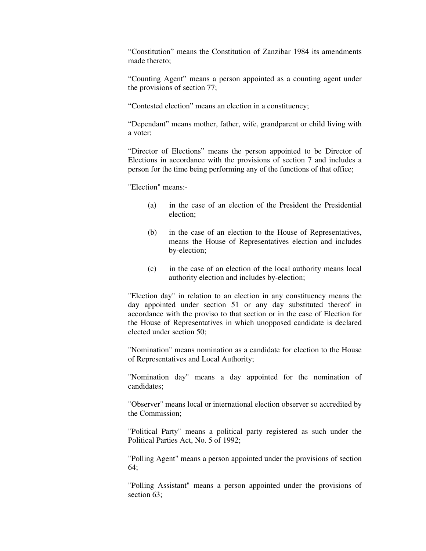"Constitution" means the Constitution of Zanzibar 1984 its amendments made thereto;

"Counting Agent" means a person appointed as a counting agent under the provisions of section 77;

"Contested election" means an election in a constituency;

"Dependant" means mother, father, wife, grandparent or child living with a voter;

"Director of Elections" means the person appointed to be Director of Elections in accordance with the provisions of section 7 and includes a person for the time being performing any of the functions of that office;

"Election" means:-

- (a) in the case of an election of the President the Presidential election;
- (b) in the case of an election to the House of Representatives, means the House of Representatives election and includes by-election;
- (c) in the case of an election of the local authority means local authority election and includes by-election;

"Election day" in relation to an election in any constituency means the day appointed under section 51 or any day substituted thereof in accordance with the proviso to that section or in the case of Election for the House of Representatives in which unopposed candidate is declared elected under section 50;

"Nomination" means nomination as a candidate for election to the House of Representatives and Local Authority;

"Nomination day" means a day appointed for the nomination of candidates;

"Observer" means local or international election observer so accredited by the Commission;

"Political Party" means a political party registered as such under the Political Parties Act, No. 5 of 1992;

"Polling Agent" means a person appointed under the provisions of section 64;

"Polling Assistant" means a person appointed under the provisions of section 63: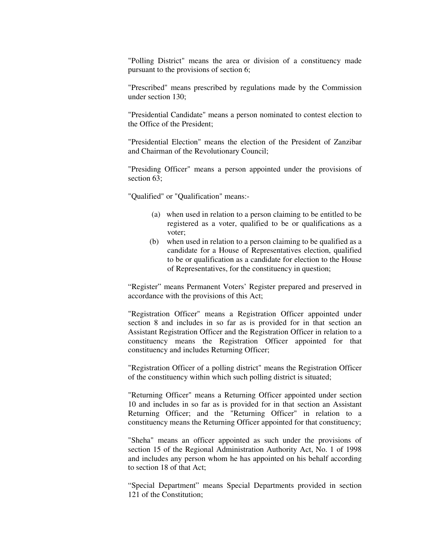"Polling District" means the area or division of a constituency made pursuant to the provisions of section 6;

"Prescribed" means prescribed by regulations made by the Commission under section 130;

"Presidential Candidate" means a person nominated to contest election to the Office of the President;

"Presidential Election" means the election of the President of Zanzibar and Chairman of the Revolutionary Council;

"Presiding Officer" means a person appointed under the provisions of section 63:

"Qualified" or "Qualification" means:-

- (a) when used in relation to a person claiming to be entitled to be registered as a voter, qualified to be or qualifications as a voter;
- (b) when used in relation to a person claiming to be qualified as a candidate for a House of Representatives election, qualified to be or qualification as a candidate for election to the House of Representatives, for the constituency in question;

"Register" means Permanent Voters' Register prepared and preserved in accordance with the provisions of this Act;

"Registration Officer" means a Registration Officer appointed under section 8 and includes in so far as is provided for in that section an Assistant Registration Officer and the Registration Officer in relation to a constituency means the Registration Officer appointed for that constituency and includes Returning Officer;

"Registration Officer of a polling district" means the Registration Officer of the constituency within which such polling district is situated;

"Returning Officer" means a Returning Officer appointed under section 10 and includes in so far as is provided for in that section an Assistant Returning Officer; and the "Returning Officer" in relation to a constituency means the Returning Officer appointed for that constituency;

"Sheha" means an officer appointed as such under the provisions of section 15 of the Regional Administration Authority Act, No. 1 of 1998 and includes any person whom he has appointed on his behalf according to section 18 of that Act;

"Special Department" means Special Departments provided in section 121 of the Constitution;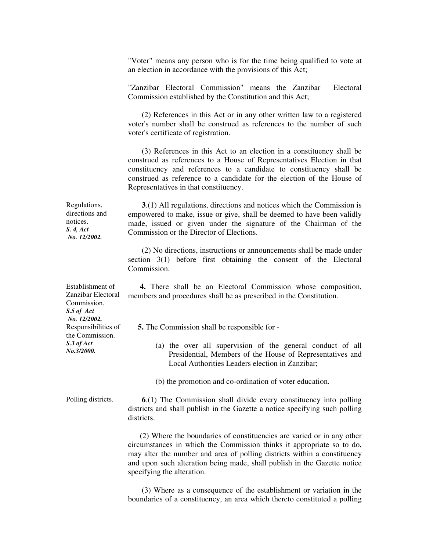"Voter" means any person who is for the time being qualified to vote at an election in accordance with the provisions of this Act;

"Zanzibar Electoral Commission" means the Zanzibar Electoral Commission established by the Constitution and this Act;

 (2) References in this Act or in any other written law to a registered voter's number shall be construed as references to the number of such voter's certificate of registration.

 (3) References in this Act to an election in a constituency shall be construed as references to a House of Representatives Election in that constituency and references to a candidate to constituency shall be construed as reference to a candidate for the election of the House of Representatives in that constituency.

 **3**.(1) All regulations, directions and notices which the Commission is empowered to make, issue or give, shall be deemed to have been validly made, issued or given under the signature of the Chairman of the Commission or the Director of Elections.

> (2) No directions, instructions or announcements shall be made under section 3(1) before first obtaining the consent of the Electoral Commission.

> **4.** There shall be an Electoral Commission whose composition, members and procedures shall be as prescribed in the Constitution.

 **5.** The Commission shall be responsible for -

- (a) the over all supervision of the general conduct of all Presidential, Members of the House of Representatives and Local Authorities Leaders election in Zanzibar;
- (b) the promotion and co-ordination of voter education.

Polling districts. **6**.(1) The Commission shall divide every constituency into polling districts and shall publish in the Gazette a notice specifying such polling districts.

> (2) Where the boundaries of constituencies are varied or in any other circumstances in which the Commission thinks it appropriate so to do, may alter the number and area of polling districts within a constituency and upon such alteration being made, shall publish in the Gazette notice specifying the alteration.

> (3) Where as a consequence of the establishment or variation in the boundaries of a constituency, an area which thereto constituted a polling

Establishment of Zanzibar Electoral Commission. *S.5 of Act No. 12/2002.* Responsibilities of the Commission. *S.3 of Act No.3/2000.* 

Regulations, directions and notices. *S. 4, Act No. 12/2002.*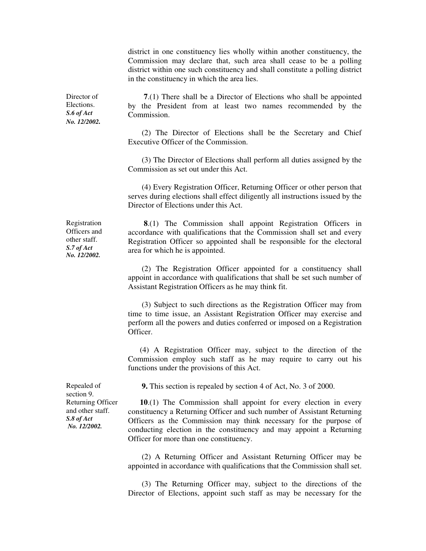district in one constituency lies wholly within another constituency, the Commission may declare that, such area shall cease to be a polling district within one such constituency and shall constitute a polling district in the constituency in which the area lies.

Director of Elections. *S.6 of Act No. 12/2002.* 

 **7**.(1) There shall be a Director of Elections who shall be appointed by the President from at least two names recommended by the Commission.

 (2) The Director of Elections shall be the Secretary and Chief Executive Officer of the Commission.

 (3) The Director of Elections shall perform all duties assigned by the Commission as set out under this Act.

 (4) Every Registration Officer, Returning Officer or other person that serves during elections shall effect diligently all instructions issued by the Director of Elections under this Act.

Registration Officers and other staff. *S.7 of Act No. 12/2002.* 

 **8**.(1) The Commission shall appoint Registration Officers in accordance with qualifications that the Commission shall set and every Registration Officer so appointed shall be responsible for the electoral area for which he is appointed.

 (2) The Registration Officer appointed for a constituency shall appoint in accordance with qualifications that shall be set such number of Assistant Registration Officers as he may think fit.

 (3) Subject to such directions as the Registration Officer may from time to time issue, an Assistant Registration Officer may exercise and perform all the powers and duties conferred or imposed on a Registration Officer.

 (4) A Registration Officer may, subject to the direction of the Commission employ such staff as he may require to carry out his functions under the provisions of this Act.

**9.** This section is repealed by section 4 of Act, No. 3 of 2000.

 **10**.(1) The Commission shall appoint for every election in every constituency a Returning Officer and such number of Assistant Returning Officers as the Commission may think necessary for the purpose of conducting election in the constituency and may appoint a Returning Officer for more than one constituency.

 (2) A Returning Officer and Assistant Returning Officer may be appointed in accordance with qualifications that the Commission shall set.

 (3) The Returning Officer may, subject to the directions of the Director of Elections, appoint such staff as may be necessary for the

Repealed of section 9. Returning Officer and other staff. *S.8 of Act No. 12/2002.*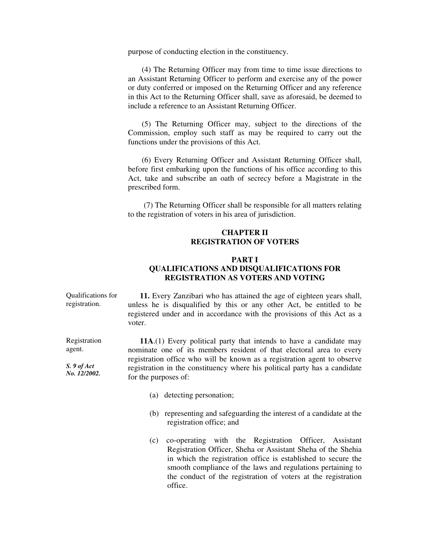purpose of conducting election in the constituency.

 (4) The Returning Officer may from time to time issue directions to an Assistant Returning Officer to perform and exercise any of the power or duty conferred or imposed on the Returning Officer and any reference in this Act to the Returning Officer shall, save as aforesaid, be deemed to include a reference to an Assistant Returning Officer.

 (5) The Returning Officer may, subject to the directions of the Commission, employ such staff as may be required to carry out the functions under the provisions of this Act.

 (6) Every Returning Officer and Assistant Returning Officer shall, before first embarking upon the functions of his office according to this Act, take and subscribe an oath of secrecy before a Magistrate in the prescribed form.

 (7) The Returning Officer shall be responsible for all matters relating to the registration of voters in his area of jurisdiction.

# **CHAPTER II REGISTRATION OF VOTERS**

# **PART I QUALIFICATIONS AND DISQUALIFICATIONS FOR REGISTRATION AS VOTERS AND VOTING**

Qualifications for registration.

 **11.** Every Zanzibari who has attained the age of eighteen years shall, unless he is disqualified by this or any other Act, be entitled to be registered under and in accordance with the provisions of this Act as a voter.

 **11A**.(1) Every political party that intends to have a candidate may nominate one of its members resident of that electoral area to every registration office who will be known as a registration agent to observe registration in the constituency where his political party has a candidate for the purposes of:

- (a) detecting personation;
- (b) representing and safeguarding the interest of a candidate at the registration office; and
- (c) co-operating with the Registration Officer, Assistant Registration Officer, Sheha or Assistant Sheha of the Shehia in which the registration office is established to secure the smooth compliance of the laws and regulations pertaining to the conduct of the registration of voters at the registration office.

Registration agent.

*S. 9 of Act No. 12/2002.*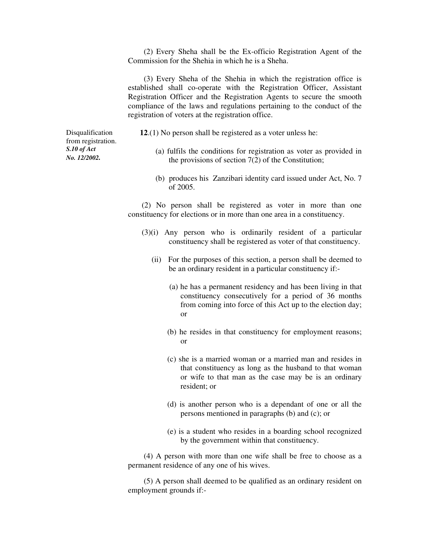(2) Every Sheha shall be the Ex-officio Registration Agent of the Commission for the Shehia in which he is a Sheha.

 (3) Every Sheha of the Shehia in which the registration office is established shall co-operate with the Registration Officer, Assistant Registration Officer and the Registration Agents to secure the smooth compliance of the laws and regulations pertaining to the conduct of the registration of voters at the registration office.

Disqualification from registration. *S.10 of Act No. 12/2002.*

**12**.(1) No person shall be registered as a voter unless he:

- (a) fulfils the conditions for registration as voter as provided in the provisions of section 7(2) of the Constitution;
- (b) produces his Zanzibari identity card issued under Act, No. 7 of 2005.

 (2) No person shall be registered as voter in more than one constituency for elections or in more than one area in a constituency.

- (3)(i) Any person who is ordinarily resident of a particular constituency shall be registered as voter of that constituency.
	- (ii) For the purposes of this section, a person shall be deemed to be an ordinary resident in a particular constituency if:-
		- (a) he has a permanent residency and has been living in that constituency consecutively for a period of 36 months from coming into force of this Act up to the election day; or
		- (b) he resides in that constituency for employment reasons; or
		- (c) she is a married woman or a married man and resides in that constituency as long as the husband to that woman or wife to that man as the case may be is an ordinary resident; or
		- (d) is another person who is a dependant of one or all the persons mentioned in paragraphs (b) and (c); or
		- (e) is a student who resides in a boarding school recognized by the government within that constituency.

 (4) A person with more than one wife shall be free to choose as a permanent residence of any one of his wives.

 (5) A person shall deemed to be qualified as an ordinary resident on employment grounds if:-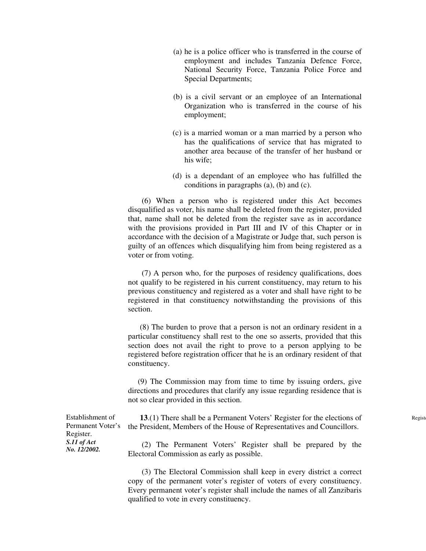- (a) he is a police officer who is transferred in the course of employment and includes Tanzania Defence Force, National Security Force, Tanzania Police Force and Special Departments;
- (b) is a civil servant or an employee of an International Organization who is transferred in the course of his employment;
- (c) is a married woman or a man married by a person who has the qualifications of service that has migrated to another area because of the transfer of her husband or his wife;
- (d) is a dependant of an employee who has fulfilled the conditions in paragraphs (a), (b) and (c).

 (6) When a person who is registered under this Act becomes disqualified as voter, his name shall be deleted from the register, provided that, name shall not be deleted from the register save as in accordance with the provisions provided in Part III and IV of this Chapter or in accordance with the decision of a Magistrate or Judge that, such person is guilty of an offences which disqualifying him from being registered as a voter or from voting.

 (7) A person who, for the purposes of residency qualifications, does not qualify to be registered in his current constituency, may return to his previous constituency and registered as a voter and shall have right to be registered in that constituency notwithstanding the provisions of this section.

 (8) The burden to prove that a person is not an ordinary resident in a particular constituency shall rest to the one so asserts, provided that this section does not avail the right to prove to a person applying to be registered before registration officer that he is an ordinary resident of that constituency.

 (9) The Commission may from time to time by issuing orders, give directions and procedures that clarify any issue regarding residence that is not so clear provided in this section.

| Establishment of  | 13.(1) There shall be a Permanent Voters' Register for the elections of |
|-------------------|-------------------------------------------------------------------------|
| Permanent Voter's | the President, Members of the House of Representatives and Councillors. |
| Register.         |                                                                         |
| S.11 of Act       | (2) The Permanent Voters' Register shall be prepared by the             |
| No. 12/2002.      | Electoral Commission as early as possible.                              |

 (3) The Electoral Commission shall keep in every district a correct copy of the permanent voter's register of voters of every constituency. Every permanent voter's register shall include the names of all Zanzibaris qualified to vote in every constituency.

Regist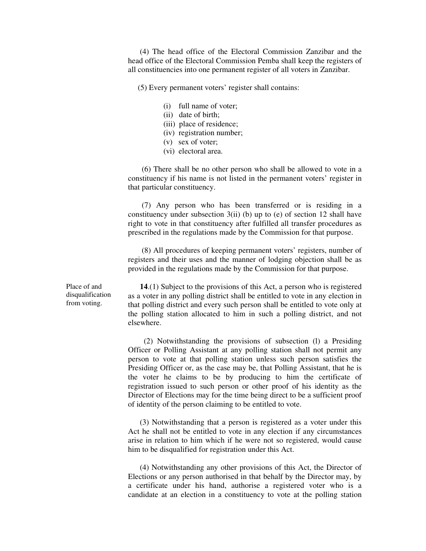(4) The head office of the Electoral Commission Zanzibar and the head office of the Electoral Commission Pemba shall keep the registers of all constituencies into one permanent register of all voters in Zanzibar.

(5) Every permanent voters' register shall contains:

- (i) full name of voter;
- (ii) date of birth;
- (iii) place of residence;
- (iv) registration number;
- (v) sex of voter;
- (vi) electoral area.

 (6) There shall be no other person who shall be allowed to vote in a constituency if his name is not listed in the permanent voters' register in that particular constituency.

 (7) Any person who has been transferred or is residing in a constituency under subsection  $3(ii)$  (b) up to (e) of section 12 shall have right to vote in that constituency after fulfilled all transfer procedures as prescribed in the regulations made by the Commission for that purpose.

 (8) All procedures of keeping permanent voters' registers, number of registers and their uses and the manner of lodging objection shall be as provided in the regulations made by the Commission for that purpose.

 **14**.(1) Subject to the provisions of this Act, a person who is registered as a voter in any polling district shall be entitled to vote in any election in that polling district and every such person shall be entitled to vote only at the polling station allocated to him in such a polling district, and not elsewhere.

 (2) Notwithstanding the provisions of subsection (l) a Presiding Officer or Polling Assistant at any polling station shall not permit any person to vote at that polling station unless such person satisfies the Presiding Officer or, as the case may be, that Polling Assistant, that he is the voter he claims to be by producing to him the certificate of registration issued to such person or other proof of his identity as the Director of Elections may for the time being direct to be a sufficient proof of identity of the person claiming to be entitled to vote.

 (3) Notwithstanding that a person is registered as a voter under this Act he shall not be entitled to vote in any election if any circumstances arise in relation to him which if he were not so registered, would cause him to be disqualified for registration under this Act.

 (4) Notwithstanding any other provisions of this Act, the Director of Elections or any person authorised in that behalf by the Director may, by a certificate under his hand, authorise a registered voter who is a candidate at an election in a constituency to vote at the polling station

Place of and disqualification from voting.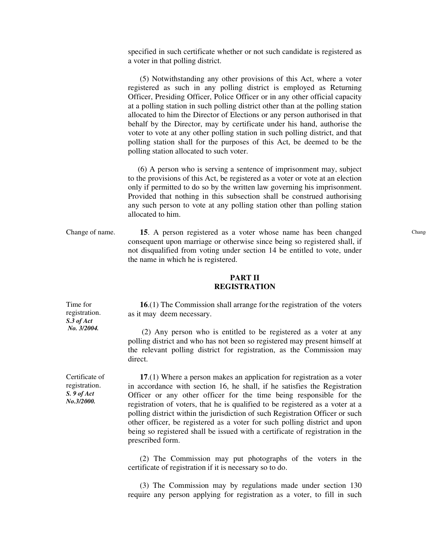specified in such certificate whether or not such candidate is registered as a voter in that polling district.

 (5) Notwithstanding any other provisions of this Act, where a voter registered as such in any polling district is employed as Returning Officer, Presiding Officer, Police Officer or in any other official capacity at a polling station in such polling district other than at the polling station allocated to him the Director of Elections or any person authorised in that behalf by the Director, may by certificate under his hand, authorise the voter to vote at any other polling station in such polling district, and that polling station shall for the purposes of this Act, be deemed to be the polling station allocated to such voter.

 (6) A person who is serving a sentence of imprisonment may, subject to the provisions of this Act, be registered as a voter or vote at an election only if permitted to do so by the written law governing his imprisonment. Provided that nothing in this subsection shall be construed authorising any such person to vote at any polling station other than polling station allocated to him.

Change of name. **15**. A person registered as a voter whose name has been changed consequent upon marriage or otherwise since being so registered shall, if not disqualified from voting under section 14 be entitled to vote, under the name in which he is registered.

# **PART II REGISTRATION**

 **16**.(1) The Commission shall arrange for the registration of the voters as it may deem necessary.

 (2) Any person who is entitled to be registered as a voter at any polling district and who has not been so registered may present himself at the relevant polling district for registration, as the Commission may direct.

 **17**.(1) Where a person makes an application for registration as a voter in accordance with section 16, he shall, if he satisfies the Registration Officer or any other officer for the time being responsible for the registration of voters, that he is qualified to be registered as a voter at a polling district within the jurisdiction of such Registration Officer or such other officer, be registered as a voter for such polling district and upon being so registered shall be issued with a certificate of registration in the prescribed form.

 (2) The Commission may put photographs of the voters in the certificate of registration if it is necessary so to do.

 (3) The Commission may by regulations made under section 130 require any person applying for registration as a voter, to fill in such

Time for registration. *S.3 of Act No. 3/2004.* 

Certificate of registration. *S. 9 of Act No.3/2000.*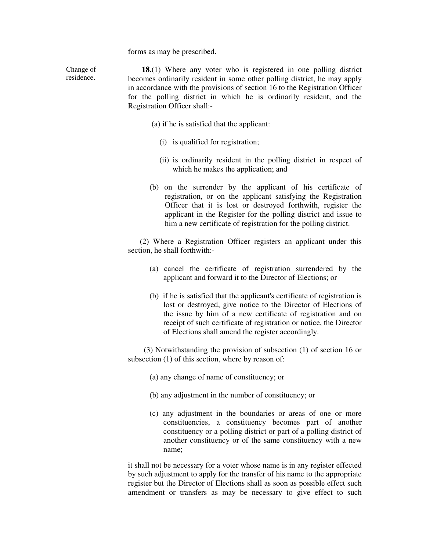forms as may be prescribed.

Change of residence.

 **18**.(1) Where any voter who is registered in one polling district becomes ordinarily resident in some other polling district, he may apply in accordance with the provisions of section 16 to the Registration Officer for the polling district in which he is ordinarily resident, and the Registration Officer shall:-

- (a) if he is satisfied that the applicant:
	- (i) is qualified for registration;
	- (ii) is ordinarily resident in the polling district in respect of which he makes the application; and
- (b) on the surrender by the applicant of his certificate of registration, or on the applicant satisfying the Registration Officer that it is lost or destroyed forthwith, register the applicant in the Register for the polling district and issue to him a new certificate of registration for the polling district.

 (2) Where a Registration Officer registers an applicant under this section, he shall forthwith:-

- (a) cancel the certificate of registration surrendered by the applicant and forward it to the Director of Elections; or
- (b) if he is satisfied that the applicant's certificate of registration is lost or destroyed, give notice to the Director of Elections of the issue by him of a new certificate of registration and on receipt of such certificate of registration or notice, the Director of Elections shall amend the register accordingly.

 (3) Notwithstanding the provision of subsection (1) of section 16 or subsection (1) of this section, where by reason of:

- (a) any change of name of constituency; or
- (b) any adjustment in the number of constituency; or
- (c) any adjustment in the boundaries or areas of one or more constituencies, a constituency becomes part of another constituency or a polling district or part of a polling district of another constituency or of the same constituency with a new name;

it shall not be necessary for a voter whose name is in any register effected by such adjustment to apply for the transfer of his name to the appropriate register but the Director of Elections shall as soon as possible effect such amendment or transfers as may be necessary to give effect to such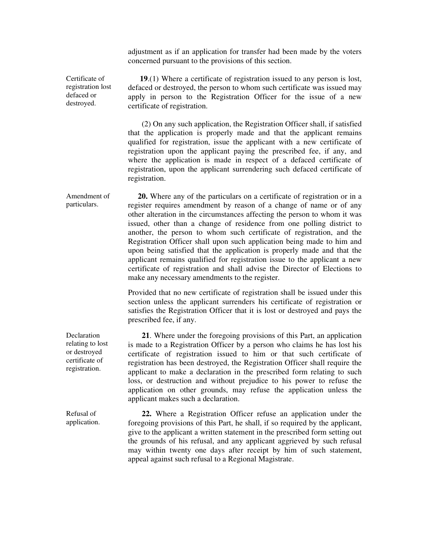adjustment as if an application for transfer had been made by the voters concerned pursuant to the provisions of this section.

Certificate of registration lost defaced or destroyed.

 **19**.(1) Where a certificate of registration issued to any person is lost, defaced or destroyed, the person to whom such certificate was issued may apply in person to the Registration Officer for the issue of a new certificate of registration.

 (2) On any such application, the Registration Officer shall, if satisfied that the application is properly made and that the applicant remains qualified for registration, issue the applicant with a new certificate of registration upon the applicant paying the prescribed fee, if any, and where the application is made in respect of a defaced certificate of registration, upon the applicant surrendering such defaced certificate of registration.

Amendment of particulars. **20.** Where any of the particulars on a certificate of registration or in a register requires amendment by reason of a change of name or of any other alteration in the circumstances affecting the person to whom it was issued, other than a change of residence from one polling district to another, the person to whom such certificate of registration, and the Registration Officer shall upon such application being made to him and upon being satisfied that the application is properly made and that the applicant remains qualified for registration issue to the applicant a new certificate of registration and shall advise the Director of Elections to make any necessary amendments to the register.

> Provided that no new certificate of registration shall be issued under this section unless the applicant surrenders his certificate of registration or satisfies the Registration Officer that it is lost or destroyed and pays the prescribed fee, if any.

 **21**. Where under the foregoing provisions of this Part, an application is made to a Registration Officer by a person who claims he has lost his certificate of registration issued to him or that such certificate of registration has been destroyed, the Registration Officer shall require the applicant to make a declaration in the prescribed form relating to such loss, or destruction and without prejudice to his power to refuse the application on other grounds, may refuse the application unless the applicant makes such a declaration.

 **22.** Where a Registration Officer refuse an application under the foregoing provisions of this Part, he shall, if so required by the applicant, give to the applicant a written statement in the prescribed form setting out the grounds of his refusal, and any applicant aggrieved by such refusal may within twenty one days after receipt by him of such statement, appeal against such refusal to a Regional Magistrate.

Declaration relating to lost or destroyed certificate of registration.

Refusal of application.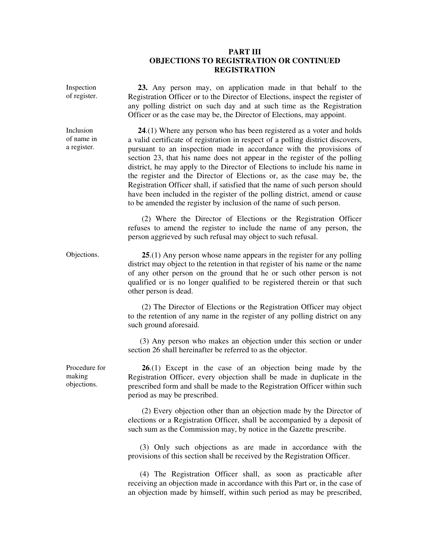# **PART III OBJECTIONS TO REGISTRATION OR CONTINUED REGISTRATION**

| Inspection<br>of register.             | 23. Any person may, on application made in that behalf to the<br>Registration Officer or to the Director of Elections, inspect the register of<br>any polling district on such day and at such time as the Registration<br>Officer or as the case may be, the Director of Elections, may appoint.                                                                                                                                                                                                                                                                                                                                                                                                        |
|----------------------------------------|----------------------------------------------------------------------------------------------------------------------------------------------------------------------------------------------------------------------------------------------------------------------------------------------------------------------------------------------------------------------------------------------------------------------------------------------------------------------------------------------------------------------------------------------------------------------------------------------------------------------------------------------------------------------------------------------------------|
| Inclusion<br>of name in<br>a register. | $24(1)$ Where any person who has been registered as a voter and holds<br>a valid certificate of registration in respect of a polling district discovers,<br>pursuant to an inspection made in accordance with the provisions of<br>section 23, that his name does not appear in the register of the polling<br>district, he may apply to the Director of Elections to include his name in<br>the register and the Director of Elections or, as the case may be, the<br>Registration Officer shall, if satisfied that the name of such person should<br>have been included in the register of the polling district, amend or cause<br>to be amended the register by inclusion of the name of such person. |
|                                        | (2) Where the Director of Elections or the Registration Officer<br>refuses to amend the register to include the name of any person, the<br>person aggrieved by such refusal may object to such refusal.                                                                                                                                                                                                                                                                                                                                                                                                                                                                                                  |
| Objections.                            | $25(1)$ Any person whose name appears in the register for any polling<br>district may object to the retention in that register of his name or the name<br>of any other person on the ground that he or such other person is not<br>qualified or is no longer qualified to be registered therein or that such<br>other person is dead.                                                                                                                                                                                                                                                                                                                                                                    |
|                                        | (2) The Director of Elections or the Registration Officer may object<br>to the retention of any name in the register of any polling district on any<br>such ground aforesaid.                                                                                                                                                                                                                                                                                                                                                                                                                                                                                                                            |
|                                        | (3) Any person who makes an objection under this section or under<br>section 26 shall hereinafter be referred to as the objector.                                                                                                                                                                                                                                                                                                                                                                                                                                                                                                                                                                        |
| Procedure for<br>making<br>objections. | $26(1)$ Except in the case of an objection being made by the<br>Registration Officer, every objection shall be made in duplicate in the<br>prescribed form and shall be made to the Registration Officer within such<br>period as may be prescribed.                                                                                                                                                                                                                                                                                                                                                                                                                                                     |
|                                        | (2) Every objection other than an objection made by the Director of<br>elections or a Registration Officer, shall be accompanied by a deposit of<br>such sum as the Commission may, by notice in the Gazette prescribe.                                                                                                                                                                                                                                                                                                                                                                                                                                                                                  |
|                                        | (3) Only such objections as are made in accordance with the<br>provisions of this section shall be received by the Registration Officer.                                                                                                                                                                                                                                                                                                                                                                                                                                                                                                                                                                 |
|                                        | (4) The Registration Officer shall, as soon as practicable after<br>receiving an objection made in accordance with this Part or, in the case of                                                                                                                                                                                                                                                                                                                                                                                                                                                                                                                                                          |

an objection made by himself, within such period as may be prescribed,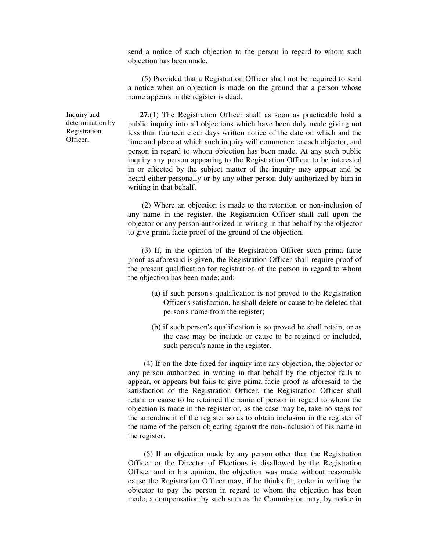send a notice of such objection to the person in regard to whom such objection has been made.

 (5) Provided that a Registration Officer shall not be required to send a notice when an objection is made on the ground that a person whose name appears in the register is dead.

 **27**.(1) The Registration Officer shall as soon as practicable hold a public inquiry into all objections which have been duly made giving not less than fourteen clear days written notice of the date on which and the time and place at which such inquiry will commence to each objector, and person in regard to whom objection has been made. At any such public inquiry any person appearing to the Registration Officer to be interested in or effected by the subject matter of the inquiry may appear and be heard either personally or by any other person duly authorized by him in writing in that behalf.

 (2) Where an objection is made to the retention or non-inclusion of any name in the register, the Registration Officer shall call upon the objector or any person authorized in writing in that behalf by the objector to give prima facie proof of the ground of the objection.

 (3) If, in the opinion of the Registration Officer such prima facie proof as aforesaid is given, the Registration Officer shall require proof of the present qualification for registration of the person in regard to whom the objection has been made; and:-

- (a) if such person's qualification is not proved to the Registration Officer's satisfaction, he shall delete or cause to be deleted that person's name from the register;
- (b) if such person's qualification is so proved he shall retain, or as the case may be include or cause to be retained or included, such person's name in the register.

 (4) If on the date fixed for inquiry into any objection, the objector or any person authorized in writing in that behalf by the objector fails to appear, or appears but fails to give prima facie proof as aforesaid to the satisfaction of the Registration Officer, the Registration Officer shall retain or cause to be retained the name of person in regard to whom the objection is made in the register or, as the case may be, take no steps for the amendment of the register so as to obtain inclusion in the register of the name of the person objecting against the non-inclusion of his name in the register.

 (5) If an objection made by any person other than the Registration Officer or the Director of Elections is disallowed by the Registration Officer and in his opinion, the objection was made without reasonable cause the Registration Officer may, if he thinks fit, order in writing the objector to pay the person in regard to whom the objection has been made, a compensation by such sum as the Commission may, by notice in

Inquiry and determination by Registration Officer.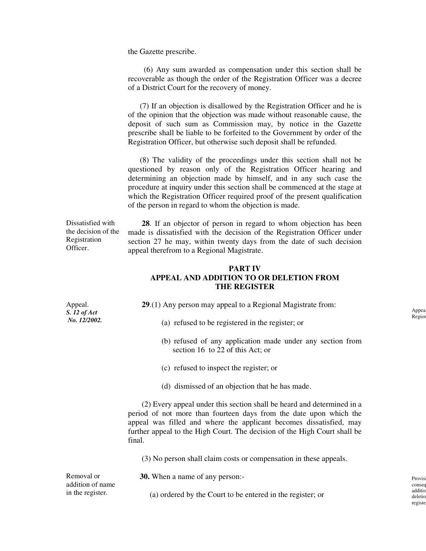the Gazette prescribe.

 (6) Any sum awarded as compensation under this section shall be recoverable as though the order of the Registration Officer was a decree of a District Court for the recovery of money.

 (7) If an objection is disallowed by the Registration Officer and he is of the opinion that the objection was made without reasonable cause, the deposit of such sum as Commission may, by notice in the Gazette prescribe shall be liable to be forfeited to the Government by order of the Registration Officer, but otherwise such deposit shall be refunded.

 (8) The validity of the proceedings under this section shall not be questioned by reason only of the Registration Officer hearing and determining an objection made by himself, and in any such case the procedure at inquiry under this section shall be commenced at the stage at which the Registration Officer required proof of the present qualification of the person in regard to whom the objection is made.

Dissatisfied with the decision of the Registration Officer.

 **28**. If an objector of person in regard to whom objection has been made is dissatisfied with the decision of the Registration Officer under section 27 he may, within twenty days from the date of such decision appeal therefrom to a Regional Magistrate.

# **PART IV APPEAL AND ADDITION TO OR DELETION FROM THE REGISTER**

**29**.(1) Any person may appeal to a Regional Magistrate from:

- (a) refused to be registered in the register; or
- (b) refused of any application made under any section from section 16 to 22 of this Act; or
- (c) refused to inspect the register; or
- (d) dismissed of an objection that he has made.

 (2) Every appeal under this section shall be heard and determined in a period of not more than fourteen days from the date upon which the appeal was filled and where the applicant becomes dissatisfied, may further appeal to the High Court. The decision of the High Court shall be final.

(3) No person shall claim costs or compensation in these appeals.

**30.** When a name of any person:-

(a) ordered by the Court to be entered in the register; or

Appeal. *S. 12 of Act No. 12/2002.*

Removal or addition of name in the register.

Appea Region

Provis consec additio deletic registe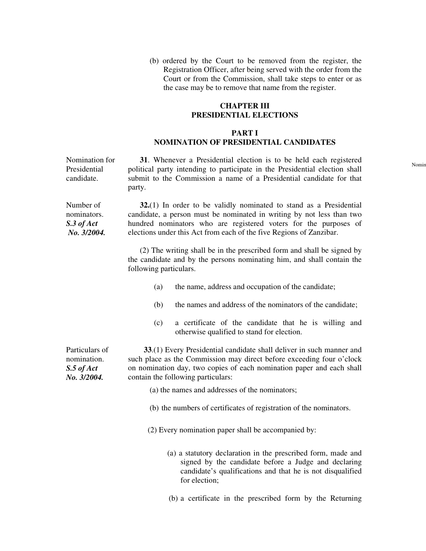(b) ordered by the Court to be removed from the register, the Registration Officer, after being served with the order from the Court or from the Commission, shall take steps to enter or as the case may be to remove that name from the register.

# **CHAPTER III PRESIDENTIAL ELECTIONS**

# **PART I NOMINATION OF PRESIDENTIAL CANDIDATES**

Nomination for Presidential candidate. **31**. Whenever a Presidential election is to be held each registered political party intending to participate in the Presidential election shall submit to the Commission a name of a Presidential candidate for that party.

Number of nominators. *S.3 of Act No. 3/2004.*  **32.**(1) In order to be validly nominated to stand as a Presidential candidate, a person must be nominated in writing by not less than two hundred nominators who are registered voters for the purposes of elections under this Act from each of the five Regions of Zanzibar.

> (2) The writing shall be in the prescribed form and shall be signed by the candidate and by the persons nominating him, and shall contain the following particulars.

- (a) the name, address and occupation of the candidate;
- (b) the names and address of the nominators of the candidate;
- (c) a certificate of the candidate that he is willing and otherwise qualified to stand for election.

Particulars of nomination. *S.5 of Act No. 3/2004.* 

 **33**.(1) Every Presidential candidate shall deliver in such manner and such place as the Commission may direct before exceeding four o'clock on nomination day, two copies of each nomination paper and each shall contain the following particulars:

(a) the names and addresses of the nominators;

(b) the numbers of certificates of registration of the nominators.

(2) Every nomination paper shall be accompanied by:

- (a) a statutory declaration in the prescribed form, made and signed by the candidate before a Judge and declaring candidate's qualifications and that he is not disqualified for election;
- (b) a certificate in the prescribed form by the Returning

Nomin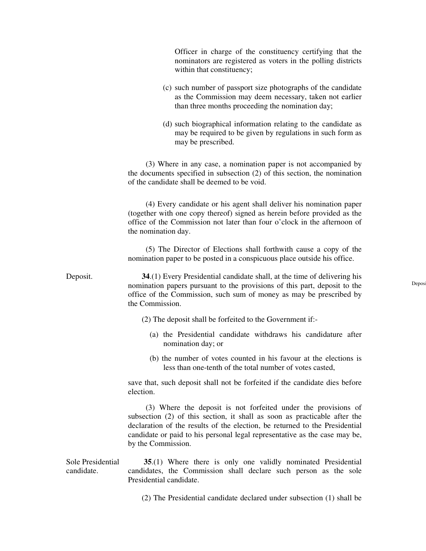Officer in charge of the constituency certifying that the nominators are registered as voters in the polling districts within that constituency;

- (c) such number of passport size photographs of the candidate as the Commission may deem necessary, taken not earlier than three months proceeding the nomination day;
- (d) such biographical information relating to the candidate as may be required to be given by regulations in such form as may be prescribed.

 (3) Where in any case, a nomination paper is not accompanied by the documents specified in subsection (2) of this section, the nomination of the candidate shall be deemed to be void.

 (4) Every candidate or his agent shall deliver his nomination paper (together with one copy thereof) signed as herein before provided as the office of the Commission not later than four o'clock in the afternoon of the nomination day.

 (5) The Director of Elections shall forthwith cause a copy of the nomination paper to be posted in a conspicuous place outside his office.

Deposit. **34**.(1) Every Presidential candidate shall, at the time of delivering his nomination papers pursuant to the provisions of this part, deposit to the office of the Commission, such sum of money as may be prescribed by the Commission.

- (2) The deposit shall be forfeited to the Government if:-
	- (a) the Presidential candidate withdraws his candidature after nomination day; or
	- (b) the number of votes counted in his favour at the elections is less than one-tenth of the total number of votes casted,

save that, such deposit shall not be forfeited if the candidate dies before election.

 (3) Where the deposit is not forfeited under the provisions of subsection (2) of this section, it shall as soon as practicable after the declaration of the results of the election, be returned to the Presidential candidate or paid to his personal legal representative as the case may be, by the Commission.

Sole Presidential candidate. **35**.(1) Where there is only one validly nominated Presidential candidates, the Commission shall declare such person as the sole Presidential candidate.

(2) The Presidential candidate declared under subsection (1) shall be

Depos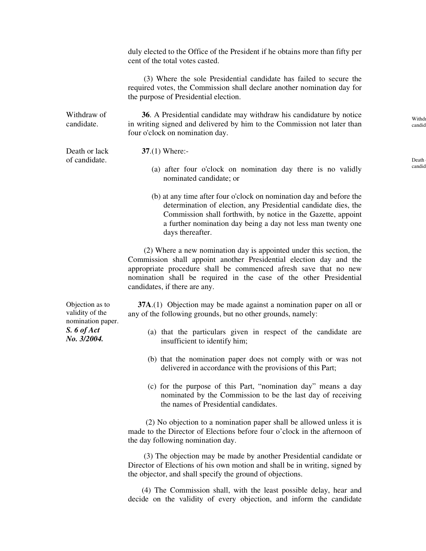duly elected to the Office of the President if he obtains more than fifty per cent of the total votes casted.

 (3) Where the sole Presidential candidate has failed to secure the required votes, the Commission shall declare another nomination day for the purpose of Presidential election.

Withdraw of candidate. **36**. A Presidential candidate may withdraw his candidature by notice in writing signed and delivered by him to the Commission not later than four o'clock on nomination day.

Death or lack of candidate.

**37**.(1) Where:-

- (a) after four o'clock on nomination day there is no validly nominated candidate; or
- (b) at any time after four o'clock on nomination day and before the determination of election, any Presidential candidate dies, the Commission shall forthwith, by notice in the Gazette, appoint a further nomination day being a day not less man twenty one days thereafter.

 (2) Where a new nomination day is appointed under this section, the Commission shall appoint another Presidential election day and the appropriate procedure shall be commenced afresh save that no new nomination shall be required in the case of the other Presidential candidates, if there are any.

**37A.**(1) Objection may be made against a nomination paper on all or any of the following grounds, but no other grounds, namely:

- (a) that the particulars given in respect of the candidate are insufficient to identify him;
- (b) that the nomination paper does not comply with or was not delivered in accordance with the provisions of this Part;
- (c) for the purpose of this Part, "nomination day" means a day nominated by the Commission to be the last day of receiving the names of Presidential candidates.

 (2) No objection to a nomination paper shall be allowed unless it is made to the Director of Elections before four o'clock in the afternoon of the day following nomination day.

 (3) The objection may be made by another Presidential candidate or Director of Elections of his own motion and shall be in writing, signed by the objector, and shall specify the ground of objections.

 (4) The Commission shall, with the least possible delay, hear and decide on the validity of every objection, and inform the candidate

Objection as to validity of the nomination paper. *S. 6 of Act No. 3/2004.* 

Withdraw candid

Death candid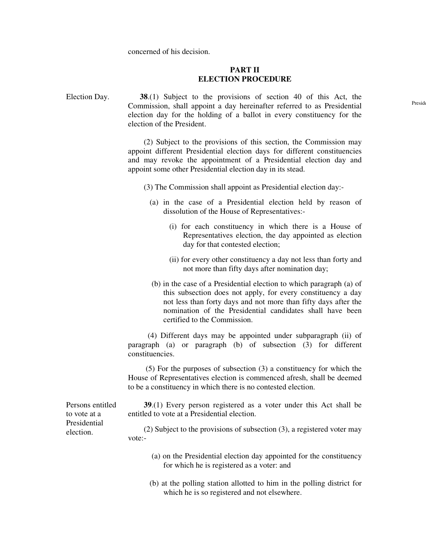concerned of his decision.

#### **PART II ELECTION PROCEDURE**

Election Day. **38**.(1) Subject to the provisions of section 40 of this Act, the Commission, shall appoint a day hereinafter referred to as Presidential election day for the holding of a ballot in every constituency for the election of the President.

> (2) Subject to the provisions of this section, the Commission may appoint different Presidential election days for different constituencies and may revoke the appointment of a Presidential election day and appoint some other Presidential election day in its stead.

(3) The Commission shall appoint as Presidential election day:-

- (a) in the case of a Presidential election held by reason of dissolution of the House of Representatives:-
	- (i) for each constituency in which there is a House of Representatives election, the day appointed as election day for that contested election;
	- (ii) for every other constituency a day not less than forty and not more than fifty days after nomination day;
- (b) in the case of a Presidential election to which paragraph (a) of this subsection does not apply, for every constituency a day not less than forty days and not more than fifty days after the nomination of the Presidential candidates shall have been certified to the Commission.

 (4) Different days may be appointed under subparagraph (ii) of paragraph (a) or paragraph (b) of subsection (3) for different constituencies.

 (5) For the purposes of subsection (3) a constituency for which the House of Representatives election is commenced afresh, shall be deemed to be a constituency in which there is no contested election.

Persons entitled to vote at a Presidential election.

 **39**.(1) Every person registered as a voter under this Act shall be entitled to vote at a Presidential election.

 (2) Subject to the provisions of subsection (3), a registered voter may vote:-

- (a) on the Presidential election day appointed for the constituency for which he is registered as a voter: and
- (b) at the polling station allotted to him in the polling district for which he is so registered and not elsewhere.

Preside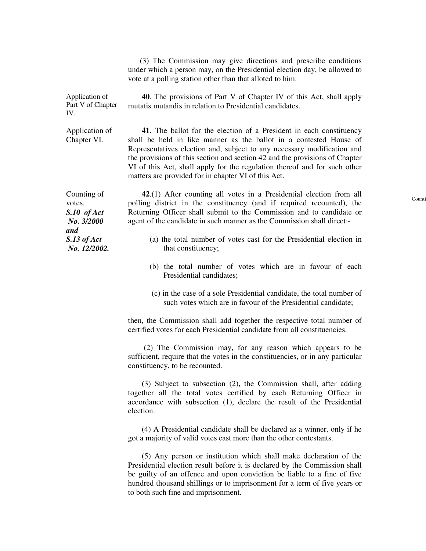(3) The Commission may give directions and prescribe conditions under which a person may, on the Presidential election day, be allowed to vote at a polling station other than that alloted to him.

mutatis mutandis in relation to Presidential candidates.

**40**. The provisions of Part V of Chapter IV of this Act, shall apply

Application of Part V of Chapter IV.

Application of Chapter VI.

 **41**. The ballot for the election of a President in each constituency shall be held in like manner as the ballot in a contested House of Representatives election and, subject to any necessary modification and the provisions of this section and section 42 and the provisions of Chapter VI of this Act, shall apply for the regulation thereof and for such other matters are provided for in chapter VI of this Act.

Counting of votes. *S.10 of Act No. 3/2000 and S.13 of Act No. 12/2002.* 

 **42**.(1) After counting all votes in a Presidential election from all polling district in the constituency (and if required recounted), the Returning Officer shall submit to the Commission and to candidate or agent of the candidate in such manner as the Commission shall direct:-

- (a) the total number of votes cast for the Presidential election in that constituency;
- (b) the total number of votes which are in favour of each Presidential candidates;
- (c) in the case of a sole Presidential candidate, the total number of such votes which are in favour of the Presidential candidate;

then, the Commission shall add together the respective total number of certified votes for each Presidential candidate from all constituencies.

 (2) The Commission may, for any reason which appears to be sufficient, require that the votes in the constituencies, or in any particular constituency, to be recounted.

 (3) Subject to subsection (2), the Commission shall, after adding together all the total votes certified by each Returning Officer in accordance with subsection (1), declare the result of the Presidential election.

 (4) A Presidential candidate shall be declared as a winner, only if he got a majority of valid votes cast more than the other contestants.

 (5) Any person or institution which shall make declaration of the Presidential election result before it is declared by the Commission shall be guilty of an offence and upon conviction be liable to a fine of five hundred thousand shillings or to imprisonment for a term of five years or to both such fine and imprisonment.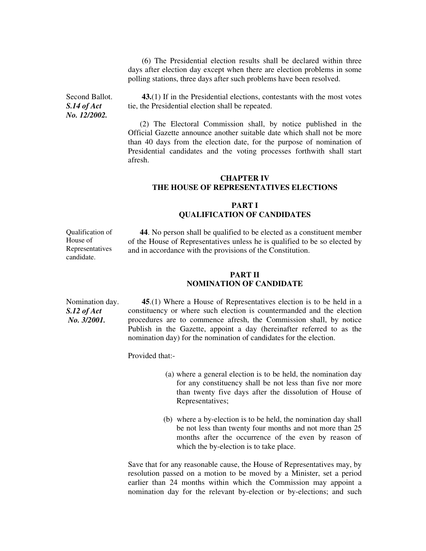(6) The Presidential election results shall be declared within three days after election day except when there are election problems in some polling stations, three days after such problems have been resolved.

Second Ballot. *S.14 of Act No. 12/2002.* 

 **43.**(1) If in the Presidential elections, contestants with the most votes tie, the Presidential election shall be repeated.

 (2) The Electoral Commission shall, by notice published in the Official Gazette announce another suitable date which shall not be more than 40 days from the election date, for the purpose of nomination of Presidential candidates and the voting processes forthwith shall start afresh.

#### **CHAPTER IV THE HOUSE OF REPRESENTATIVES ELECTIONS**

# **PART I QUALIFICATION OF CANDIDATES**

Qualification of House of Representatives candidate.

 **44**. No person shall be qualified to be elected as a constituent member of the House of Representatives unless he is qualified to be so elected by and in accordance with the provisions of the Constitution.

# **PART II NOMINATION OF CANDIDATE**

Nomination day. *S.12 of Act No. 3/2001.* 

 **45**.(1) Where a House of Representatives election is to be held in a constituency or where such election is countermanded and the election procedures are to commence afresh, the Commission shall, by notice Publish in the Gazette, appoint a day (hereinafter referred to as the nomination day) for the nomination of candidates for the election.

Provided that:-

- (a) where a general election is to be held, the nomination day for any constituency shall be not less than five nor more than twenty five days after the dissolution of House of Representatives;
- (b) where a by-election is to be held, the nomination day shall be not less than twenty four months and not more than 25 months after the occurrence of the even by reason of which the by-election is to take place.

Save that for any reasonable cause, the House of Representatives may, by resolution passed on a motion to be moved by a Minister, set a period earlier than 24 months within which the Commission may appoint a nomination day for the relevant by-election or by-elections; and such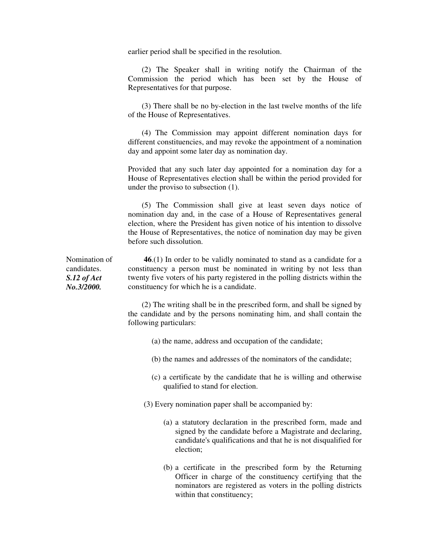earlier period shall be specified in the resolution.

 (2) The Speaker shall in writing notify the Chairman of the Commission the period which has been set by the House of Representatives for that purpose.

 (3) There shall be no by-election in the last twelve months of the life of the House of Representatives.

 (4) The Commission may appoint different nomination days for different constituencies, and may revoke the appointment of a nomination day and appoint some later day as nomination day.

Provided that any such later day appointed for a nomination day for a House of Representatives election shall be within the period provided for under the proviso to subsection (1).

 (5) The Commission shall give at least seven days notice of nomination day and, in the case of a House of Representatives general election, where the President has given notice of his intention to dissolve the House of Representatives, the notice of nomination day may be given before such dissolution.

Nomination of candidates. *S.12 of Act No.3/2000.* 

 **46**.(1) In order to be validly nominated to stand as a candidate for a constituency a person must be nominated in writing by not less than twenty five voters of his party registered in the polling districts within the constituency for which he is a candidate.

 (2) The writing shall be in the prescribed form, and shall be signed by the candidate and by the persons nominating him, and shall contain the following particulars:

- (a) the name, address and occupation of the candidate;
- (b) the names and addresses of the nominators of the candidate;
- (c) a certificate by the candidate that he is willing and otherwise qualified to stand for election.
- (3) Every nomination paper shall be accompanied by:
	- (a) a statutory declaration in the prescribed form, made and signed by the candidate before a Magistrate and declaring, candidate's qualifications and that he is not disqualified for election;
	- (b) a certificate in the prescribed form by the Returning Officer in charge of the constituency certifying that the nominators are registered as voters in the polling districts within that constituency;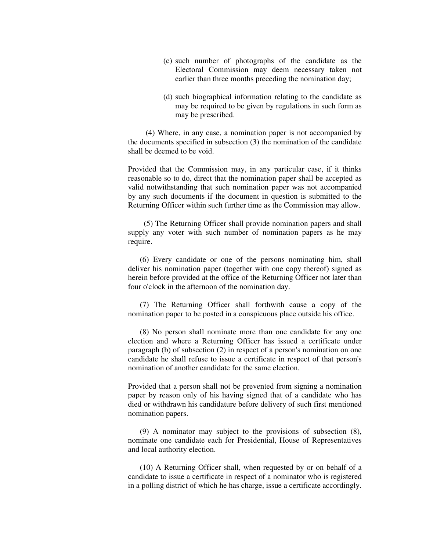- (c) such number of photographs of the candidate as the Electoral Commission may deem necessary taken not earlier than three months preceding the nomination day;
- (d) such biographical information relating to the candidate as may be required to be given by regulations in such form as may be prescribed.

 (4) Where, in any case, a nomination paper is not accompanied by the documents specified in subsection (3) the nomination of the candidate shall be deemed to be void.

Provided that the Commission may, in any particular case, if it thinks reasonable so to do, direct that the nomination paper shall be accepted as valid notwithstanding that such nomination paper was not accompanied by any such documents if the document in question is submitted to the Returning Officer within such further time as the Commission may allow.

 (5) The Returning Officer shall provide nomination papers and shall supply any voter with such number of nomination papers as he may require.

 (6) Every candidate or one of the persons nominating him, shall deliver his nomination paper (together with one copy thereof) signed as herein before provided at the office of the Returning Officer not later than four o'clock in the afternoon of the nomination day.

 (7) The Returning Officer shall forthwith cause a copy of the nomination paper to be posted in a conspicuous place outside his office.

 (8) No person shall nominate more than one candidate for any one election and where a Returning Officer has issued a certificate under paragraph (b) of subsection (2) in respect of a person's nomination on one candidate he shall refuse to issue a certificate in respect of that person's nomination of another candidate for the same election.

Provided that a person shall not be prevented from signing a nomination paper by reason only of his having signed that of a candidate who has died or withdrawn his candidature before delivery of such first mentioned nomination papers.

 (9) A nominator may subject to the provisions of subsection (8), nominate one candidate each for Presidential, House of Representatives and local authority election.

 (10) A Returning Officer shall, when requested by or on behalf of a candidate to issue a certificate in respect of a nominator who is registered in a polling district of which he has charge, issue a certificate accordingly.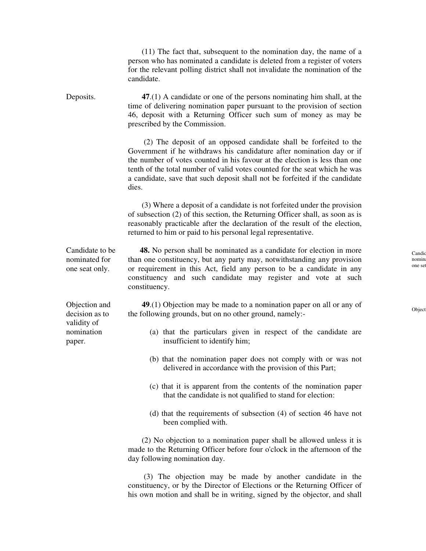(11) The fact that, subsequent to the nomination day, the name of a person who has nominated a candidate is deleted from a register of voters for the relevant polling district shall not invalidate the nomination of the candidate.

Deposits. **47**.(1) A candidate or one of the persons nominating him shall, at the time of delivering nomination paper pursuant to the provision of section 46, deposit with a Returning Officer such sum of money as may be prescribed by the Commission.

> (2) The deposit of an opposed candidate shall be forfeited to the Government if he withdraws his candidature after nomination day or if the number of votes counted in his favour at the election is less than one tenth of the total number of valid votes counted for the seat which he was a candidate, save that such deposit shall not be forfeited if the candidate dies.

> (3) Where a deposit of a candidate is not forfeited under the provision of subsection (2) of this section, the Returning Officer shall, as soon as is reasonably practicable after the declaration of the result of the election, returned to him or paid to his personal legal representative.

Candidate to be nominated for one seat only.

Objection and decision as to validity of nomination paper.

 **48.** No person shall be nominated as a candidate for election in more than one constituency, but any party may, notwithstanding any provision or requirement in this Act, field any person to be a candidate in any constituency and such candidate may register and vote at such constituency.

 **49**.(1) Objection may be made to a nomination paper on all or any of the following grounds, but on no other ground, namely:-

- (a) that the particulars given in respect of the candidate are insufficient to identify him;
- (b) that the nomination paper does not comply with or was not delivered in accordance with the provision of this Part;
- (c) that it is apparent from the contents of the nomination paper that the candidate is not qualified to stand for election:
- (d) that the requirements of subsection (4) of section 46 have not been complied with.

 (2) No objection to a nomination paper shall be allowed unless it is made to the Returning Officer before four o'clock in the afternoon of the day following nomination day.

 (3) The objection may be made by another candidate in the constituency, or by the Director of Elections or the Returning Officer of his own motion and shall be in writing, signed by the objector, and shall Candid nomin one set

Object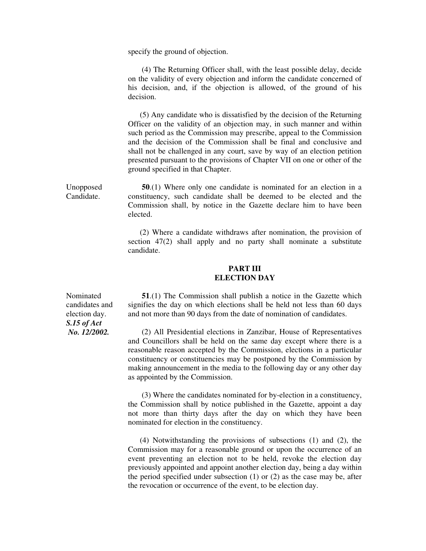specify the ground of objection.

 (4) The Returning Officer shall, with the least possible delay, decide on the validity of every objection and inform the candidate concerned of his decision, and, if the objection is allowed, of the ground of his decision.

 (5) Any candidate who is dissatisfied by the decision of the Returning Officer on the validity of an objection may, in such manner and within such period as the Commission may prescribe, appeal to the Commission and the decision of the Commission shall be final and conclusive and shall not be challenged in any court, save by way of an election petition presented pursuant to the provisions of Chapter VII on one or other of the ground specified in that Chapter.

Unopposed Candidate. **50**.(1) Where only one candidate is nominated for an election in a constituency, such candidate shall be deemed to be elected and the Commission shall, by notice in the Gazette declare him to have been elected.

> (2) Where a candidate withdraws after nomination, the provision of section 47(2) shall apply and no party shall nominate a substitute candidate.

#### **PART III ELECTION DAY**

 **51**.(1) The Commission shall publish a notice in the Gazette which signifies the day on which elections shall be held not less than 60 days and not more than 90 days from the date of nomination of candidates.

 (2) All Presidential elections in Zanzibar, House of Representatives and Councillors shall be held on the same day except where there is a reasonable reason accepted by the Commission, elections in a particular constituency or constituencies may be postponed by the Commission by making announcement in the media to the following day or any other day as appointed by the Commission.

 (3) Where the candidates nominated for by-election in a constituency, the Commission shall by notice published in the Gazette, appoint a day not more than thirty days after the day on which they have been nominated for election in the constituency.

 (4) Notwithstanding the provisions of subsections (1) and (2), the Commission may for a reasonable ground or upon the occurrence of an event preventing an election not to be held, revoke the election day previously appointed and appoint another election day, being a day within the period specified under subsection (1) or (2) as the case may be, after the revocation or occurrence of the event, to be election day.

Nominated candidates and election day. *S.15 of Act No. 12/2002.*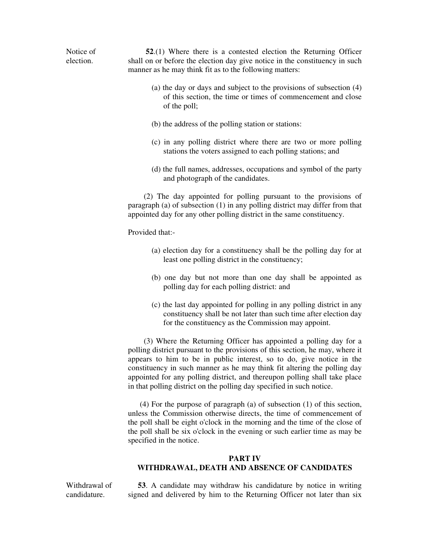Notice of election. **52**.(1) Where there is a contested election the Returning Officer shall on or before the election day give notice in the constituency in such manner as he may think fit as to the following matters:

- (a) the day or days and subject to the provisions of subsection (4) of this section, the time or times of commencement and close of the poll;
- (b) the address of the polling station or stations:
- (c) in any polling district where there are two or more polling stations the voters assigned to each polling stations; and
- (d) the full names, addresses, occupations and symbol of the party and photograph of the candidates.

 (2) The day appointed for polling pursuant to the provisions of paragraph (a) of subsection (1) in any polling district may differ from that appointed day for any other polling district in the same constituency.

Provided that:-

- (a) election day for a constituency shall be the polling day for at least one polling district in the constituency;
- (b) one day but not more than one day shall be appointed as polling day for each polling district: and
- (c) the last day appointed for polling in any polling district in any constituency shall be not later than such time after election day for the constituency as the Commission may appoint.

 (3) Where the Returning Officer has appointed a polling day for a polling district pursuant to the provisions of this section, he may, where it appears to him to be in public interest, so to do, give notice in the constituency in such manner as he may think fit altering the polling day appointed for any polling district, and thereupon polling shall take place in that polling district on the polling day specified in such notice.

 (4) For the purpose of paragraph (a) of subsection (1) of this section, unless the Commission otherwise directs, the time of commencement of the poll shall be eight o'clock in the morning and the time of the close of the poll shall be six o'clock in the evening or such earlier time as may be specified in the notice.

# **PART IV WITHDRAWAL, DEATH AND ABSENCE OF CANDIDATES**

Withdrawal of candidature.

 **53**. A candidate may withdraw his candidature by notice in writing signed and delivered by him to the Returning Officer not later than six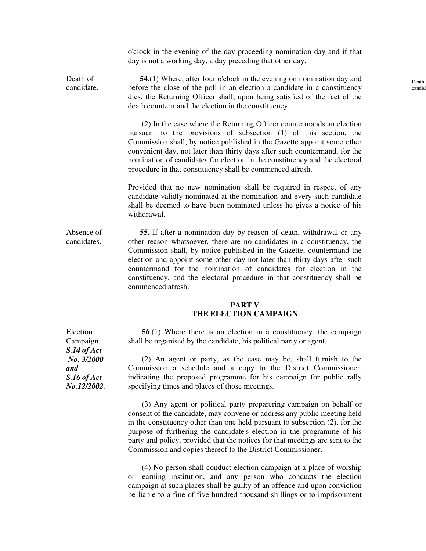o'clock in the evening of the day proceeding nomination day and if that day is not a working day, a day preceding that other day.

Death of candidate. **54**.(1) Where, after four o'clock in the evening on nomination day and before the close of the poll in an election a candidate in a constituency dies, the Returning Officer shall, upon being satisfied of the fact of the death countermand the election in the constituency.

> (2) In the case where the Returning Officer countermands an election pursuant to the provisions of subsection (1) of this section, the Commission shall, by notice published in the Gazette appoint some other convenient day, not later than thirty days after such countermand, for the nomination of candidates for election in the constituency and the electoral procedure in that constituency shall be commenced afresh.

> Provided that no new nomination shall be required in respect of any candidate validly nominated at the nomination and every such candidate shall be deemed to have been nominated unless he gives a notice of his withdrawal.

Absence of candidates. **55.** If after a nomination day by reason of death, withdrawal or any other reason whatsoever, there are no candidates in a constituency, the Commission shall, by notice published in the Gazette, countermand the election and appoint some other day not later than thirty days after such countermand for the nomination of candidates for election in the constituency, and the electoral procedure in that constituency shall be commenced afresh.

#### **PART V THE ELECTION CAMPAIGN**

 **56**.(1) Where there is an election in a constituency, the campaign shall be organised by the candidate, his political party or agent.

 (2) An agent or party, as the case may be, shall furnish to the Commission a schedule and a copy to the District Commissioner, indicating the proposed programme for his campaign for public rally specifying times and places of those meetings.

 (3) Any agent or political party preparering campaign on behalf or consent of the candidate, may convene or address any public meeting held in the constituency other than one held pursuant to subsection (2), for the purpose of furthering the candidate's election in the programme of his party and policy, provided that the notices for that meetings are sent to the Commission and copies thereof to the District Commissioner.

 (4) No person shall conduct election campaign at a place of worship or learning institution, and any person who conducts the election campaign at such places shall be guilty of an offence and upon conviction be liable to a fine of five hundred thousand shillings or to imprisonment

Election Campaign. *S.14 of Act No. 3/2000 and S.16 of Act No.12/2002.*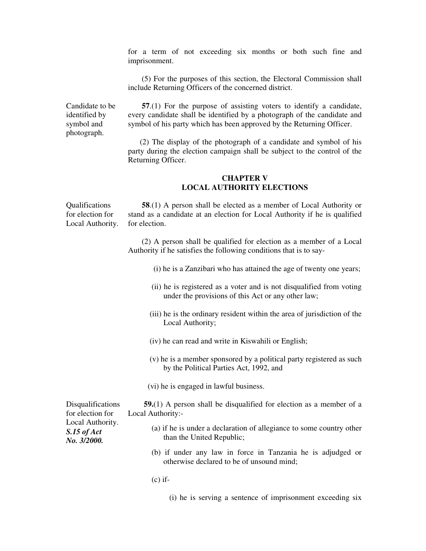for a term of not exceeding six months or both such fine and imprisonment.

 (5) For the purposes of this section, the Electoral Commission shall include Returning Officers of the concerned district.

Candidate to be identified by symbol and photograph.

**57.**(1) For the purpose of assisting voters to identify a candidate, every candidate shall be identified by a photograph of the candidate and symbol of his party which has been approved by the Returning Officer.

 (2) The display of the photograph of a candidate and symbol of his party during the election campaign shall be subject to the control of the Returning Officer.

#### **CHAPTER V LOCAL AUTHORITY ELECTIONS**

**Oualifications** for election for Local Authority. **58**.(1) A person shall be elected as a member of Local Authority or stand as a candidate at an election for Local Authority if he is qualified for election.

> (2) A person shall be qualified for election as a member of a Local Authority if he satisfies the following conditions that is to say-

- (i) he is a Zanzibari who has attained the age of twenty one years;
- (ii) he is registered as a voter and is not disqualified from voting under the provisions of this Act or any other law;
- (iii) he is the ordinary resident within the area of jurisdiction of the Local Authority;
- (iv) he can read and write in Kiswahili or English;
- (v) he is a member sponsored by a political party registered as such by the Political Parties Act, 1992, and
- (vi) he is engaged in lawful business.

 **59.**(1) A person shall be disqualified for election as a member of a Local Authority:-

- (a) if he is under a declaration of allegiance to some country other than the United Republic;
- (b) if under any law in force in Tanzania he is adjudged or otherwise declared to be of unsound mind;
- $(c)$  if-
	- (i) he is serving a sentence of imprisonment exceeding six

Disqualifications for election for Local Authority. *S.15 of Act No. 3/2000.*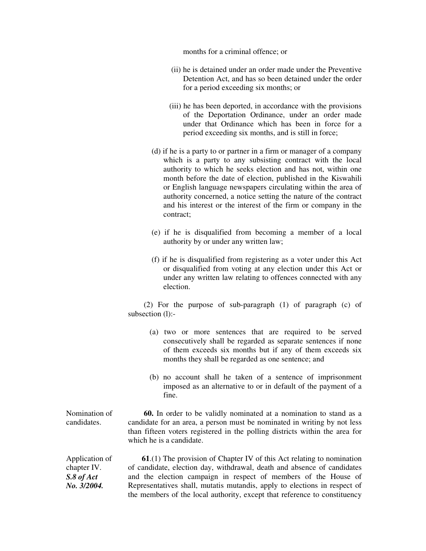months for a criminal offence; or

- (ii) he is detained under an order made under the Preventive Detention Act, and has so been detained under the order for a period exceeding six months; or
- (iii) he has been deported, in accordance with the provisions of the Deportation Ordinance, under an order made under that Ordinance which has been in force for a period exceeding six months, and is still in force;
- (d) if he is a party to or partner in a firm or manager of a company which is a party to any subsisting contract with the local authority to which he seeks election and has not, within one month before the date of election, published in the Kiswahili or English language newspapers circulating within the area of authority concerned, a notice setting the nature of the contract and his interest or the interest of the firm or company in the contract;
- (e) if he is disqualified from becoming a member of a local authority by or under any written law;
- (f) if he is disqualified from registering as a voter under this Act or disqualified from voting at any election under this Act or under any written law relating to offences connected with any election.

 (2) For the purpose of sub-paragraph (1) of paragraph (c) of subsection (1):-

- (a) two or more sentences that are required to be served consecutively shall be regarded as separate sentences if none of them exceeds six months but if any of them exceeds six months they shall be regarded as one sentence; and
- (b) no account shall he taken of a sentence of imprisonment imposed as an alternative to or in default of the payment of a fine.

Nomination of candidates. **60.** In order to be validly nominated at a nomination to stand as a candidate for an area, a person must be nominated in writing by not less than fifteen voters registered in the polling districts within the area for which he is a candidate.

Application of chapter IV. *S.8 of Act No. 3/2004.*

 **61**.(1) The provision of Chapter IV of this Act relating to nomination of candidate, election day, withdrawal, death and absence of candidates and the election campaign in respect of members of the House of Representatives shall, mutatis mutandis, apply to elections in respect of the members of the local authority, except that reference to constituency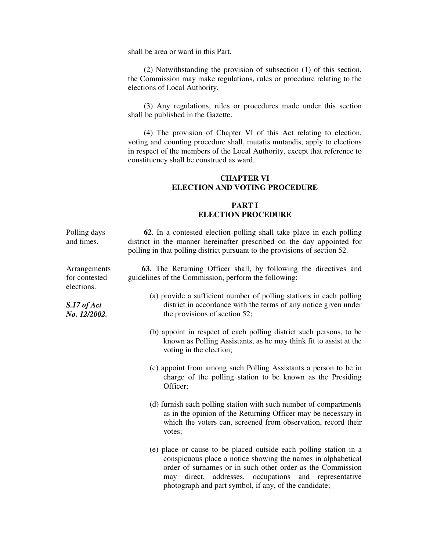shall be area or ward in this Part.

 (2) Notwithstanding the provision of subsection (1) of this section, the Commission may make regulations, rules or procedure relating to the elections of Local Authority.

 (3) Any regulations, rules or procedures made under this section shall be published in the Gazette.

 (4) The provision of Chapter VI of this Act relating to election, voting and counting procedure shall, mutatis mutandis, apply to elections in respect of the members of the Local Authority, except that reference to constituency shall be construed as ward.

#### **CHAPTER VI ELECTION AND VOTING PROCEDURE**

#### **PART I ELECTION PROCEDURE**

Polling days and times.  **62**. In a contested election polling shall take place in each polling district in the manner hereinafter prescribed on the day appointed for polling in that polling district pursuant to the provisions of section 52.

> **63**. The Returning Officer shall, by following the directives and guidelines of the Commission, perform the following:

- (a) provide a sufficient number of polling stations in each polling district in accordance with the terms of any notice given under the provisions of section 52;
- (b) appoint in respect of each polling district such persons, to be known as Polling Assistants, as he may think fit to assist at the voting in the election;
- (c) appoint from among such Polling Assistants a person to be in charge of the polling station to be known as the Presiding Officer;
- (d) furnish each polling station with such number of compartments as in the opinion of the Returning Officer may be necessary in which the voters can, screened from observation, record their votes;
- (e) place or cause to be placed outside each polling station in a conspicuous place a notice showing the names in alphabetical order of surnames or in such other order as the Commission may direct, addresses, occupations and representative photograph and part symbol, if any, of the candidate;

Arrangements for contested elections.

*S.17 of Act No. 12/2002.*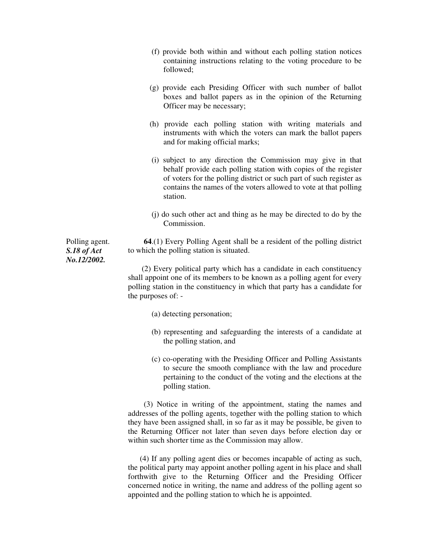- (f) provide both within and without each polling station notices containing instructions relating to the voting procedure to be followed;
- (g) provide each Presiding Officer with such number of ballot boxes and ballot papers as in the opinion of the Returning Officer may be necessary;
- (h) provide each polling station with writing materials and instruments with which the voters can mark the ballot papers and for making official marks;
- (i) subject to any direction the Commission may give in that behalf provide each polling station with copies of the register of voters for the polling district or such part of such register as contains the names of the voters allowed to vote at that polling station.
- (j) do such other act and thing as he may be directed to do by the Commission.

 **64**.(1) Every Polling Agent shall be a resident of the polling district to which the polling station is situated.

 (2) Every political party which has a candidate in each constituency shall appoint one of its members to be known as a polling agent for every polling station in the constituency in which that party has a candidate for the purposes of: -

- (a) detecting personation;
- (b) representing and safeguarding the interests of a candidate at the polling station, and
- (c) co-operating with the Presiding Officer and Polling Assistants to secure the smooth compliance with the law and procedure pertaining to the conduct of the voting and the elections at the polling station.

 (3) Notice in writing of the appointment, stating the names and addresses of the polling agents, together with the polling station to which they have been assigned shall, in so far as it may be possible, be given to the Returning Officer not later than seven days before election day or within such shorter time as the Commission may allow.

 (4) If any polling agent dies or becomes incapable of acting as such, the political party may appoint another polling agent in his place and shall forthwith give to the Returning Officer and the Presiding Officer concerned notice in writing, the name and address of the polling agent so appointed and the polling station to which he is appointed.

Polling agent. *S.18 of Act No.12/2002.*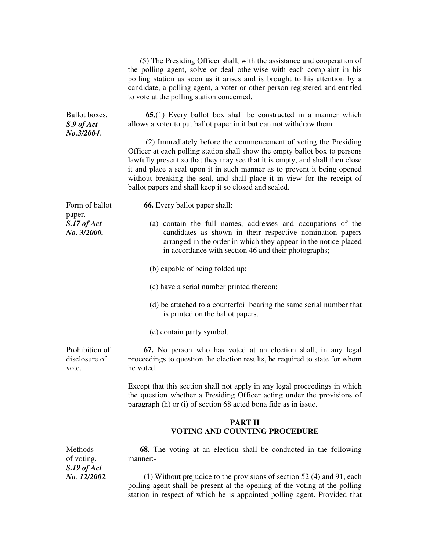|                                               | (5) The Presiding Officer shall, with the assistance and cooperation of<br>the polling agent, solve or deal otherwise with each complaint in his<br>polling station as soon as it arises and is brought to his attention by a<br>candidate, a polling agent, a voter or other person registered and entitled<br>to vote at the polling station concerned.                                                                                      |
|-----------------------------------------------|------------------------------------------------------------------------------------------------------------------------------------------------------------------------------------------------------------------------------------------------------------------------------------------------------------------------------------------------------------------------------------------------------------------------------------------------|
| Ballot boxes.<br>$S.9$ of $Act$<br>No.3/2004. | <b>65.</b> (1) Every ballot box shall be constructed in a manner which<br>allows a voter to put ballot paper in it but can not withdraw them.                                                                                                                                                                                                                                                                                                  |
|                                               | (2) Immediately before the commencement of voting the Presiding<br>Officer at each polling station shall show the empty ballot box to persons<br>lawfully present so that they may see that it is empty, and shall then close<br>it and place a seal upon it in such manner as to prevent it being opened<br>without breaking the seal, and shall place it in view for the receipt of<br>ballot papers and shall keep it so closed and sealed. |
| Form of ballot                                | <b>66.</b> Every ballot paper shall:                                                                                                                                                                                                                                                                                                                                                                                                           |
| paper.<br>$S.17$ of $Act$<br>No. 3/2000.      | (a) contain the full names, addresses and occupations of the<br>candidates as shown in their respective nomination papers<br>arranged in the order in which they appear in the notice placed<br>in accordance with section 46 and their photographs;                                                                                                                                                                                           |
|                                               | (b) capable of being folded up;                                                                                                                                                                                                                                                                                                                                                                                                                |
|                                               | (c) have a serial number printed thereon;                                                                                                                                                                                                                                                                                                                                                                                                      |
|                                               | (d) be attached to a counterfoil bearing the same serial number that<br>is printed on the ballot papers.                                                                                                                                                                                                                                                                                                                                       |
|                                               | (e) contain party symbol.                                                                                                                                                                                                                                                                                                                                                                                                                      |
| Prohibition of<br>disclosure of<br>vote.      | 67. No person who has voted at an election shall, in any legal<br>proceedings to question the election results, be required to state for whom<br>he voted.                                                                                                                                                                                                                                                                                     |
|                                               | Except that this section shall not apply in any legal proceedings in which<br>the question whether a Presiding Officer acting under the provisions of<br>paragraph (h) or (i) of section 68 acted bona fide as in issue.                                                                                                                                                                                                                       |
|                                               | <b>PART II</b><br><b>VOTING AND COUNTING PROCEDURE</b>                                                                                                                                                                                                                                                                                                                                                                                         |
| Methods<br>of voting.                         | <b>68.</b> The voting at an election shall be conducted in the following<br>manner:-                                                                                                                                                                                                                                                                                                                                                           |

 (1) Without prejudice to the provisions of section 52 (4) and 91, each polling agent shall be present at the opening of the voting at the polling station in respect of which he is appointed polling agent. Provided that

*S.19 of Act No. 12/2002.*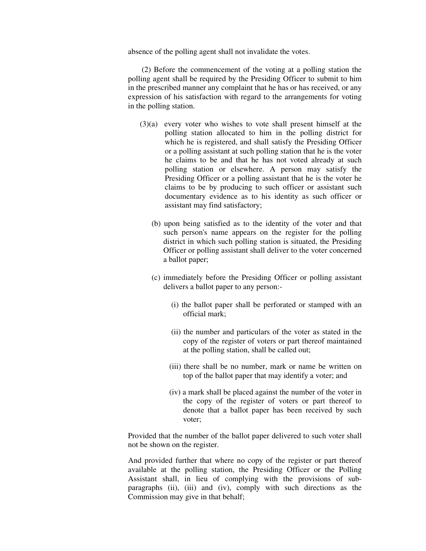absence of the polling agent shall not invalidate the votes.

 (2) Before the commencement of the voting at a polling station the polling agent shall be required by the Presiding Officer to submit to him in the prescribed manner any complaint that he has or has received, or any expression of his satisfaction with regard to the arrangements for voting in the polling station.

- (3)(a) every voter who wishes to vote shall present himself at the polling station allocated to him in the polling district for which he is registered, and shall satisfy the Presiding Officer or a polling assistant at such polling station that he is the voter he claims to be and that he has not voted already at such polling station or elsewhere. A person may satisfy the Presiding Officer or a polling assistant that he is the voter he claims to be by producing to such officer or assistant such documentary evidence as to his identity as such officer or assistant may find satisfactory;
	- (b) upon being satisfied as to the identity of the voter and that such person's name appears on the register for the polling district in which such polling station is situated, the Presiding Officer or polling assistant shall deliver to the voter concerned a ballot paper;
	- (c) immediately before the Presiding Officer or polling assistant delivers a ballot paper to any person:-
		- (i) the ballot paper shall be perforated or stamped with an official mark;
		- (ii) the number and particulars of the voter as stated in the copy of the register of voters or part thereof maintained at the polling station, shall be called out;
		- (iii) there shall be no number, mark or name be written on top of the ballot paper that may identify a voter; and
		- (iv) a mark shall be placed against the number of the voter in the copy of the register of voters or part thereof to denote that a ballot paper has been received by such voter;

Provided that the number of the ballot paper delivered to such voter shall not be shown on the register.

And provided further that where no copy of the register or part thereof available at the polling station, the Presiding Officer or the Polling Assistant shall, in lieu of complying with the provisions of subparagraphs (ii), (iii) and (iv), comply with such directions as the Commission may give in that behalf;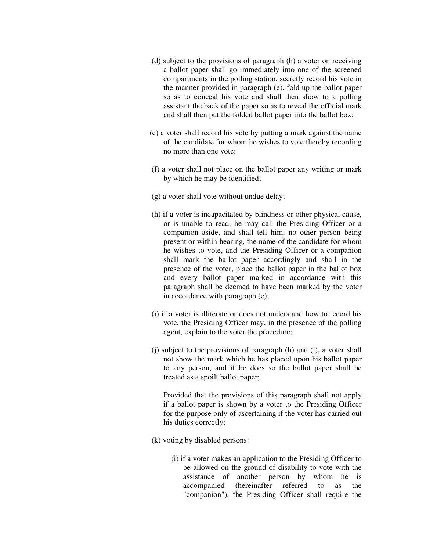- (d) subject to the provisions of paragraph (h) a voter on receiving a ballot paper shall go immediately into one of the screened compartments in the polling station, secretly record his vote in the manner provided in paragraph (e), fold up the ballot paper so as to conceal his vote and shall then show to a polling assistant the back of the paper so as to reveal the official mark and shall then put the folded ballot paper into the ballot box;
- (e) a voter shall record his vote by putting a mark against the name of the candidate for whom he wishes to vote thereby recording no more than one vote;
- (f) a voter shall not place on the ballot paper any writing or mark by which he may be identified;
- (g) a voter shall vote without undue delay;
- (h) if a voter is incapacitated by blindness or other physical cause, or is unable to read, he may call the Presiding Officer or a companion aside, and shall tell him, no other person being present or within hearing, the name of the candidate for whom he wishes to vote, and the Presiding Officer or a companion shall mark the ballot paper accordingly and shall in the presence of the voter, place the ballot paper in the ballot box and every ballot paper marked in accordance with this paragraph shall be deemed to have been marked by the voter in accordance with paragraph (e);
- (i) if a voter is illiterate or does not understand how to record his vote, the Presiding Officer may, in the presence of the polling agent, explain to the voter the procedure;
- (j) subject to the provisions of paragraph (h) and (i), a voter shall not show the mark which he has placed upon his ballot paper to any person, and if he does so the ballot paper shall be treated as a spoilt ballot paper;

 Provided that the provisions of this paragraph shall not apply if a ballot paper is shown by a voter to the Presiding Officer for the purpose only of ascertaining if the voter has carried out his duties correctly;

- (k) voting by disabled persons:
	- (i) if a voter makes an application to the Presiding Officer to be allowed on the ground of disability to vote with the assistance of another person by whom he is accompanied (hereinafter referred to as the "companion"), the Presiding Officer shall require the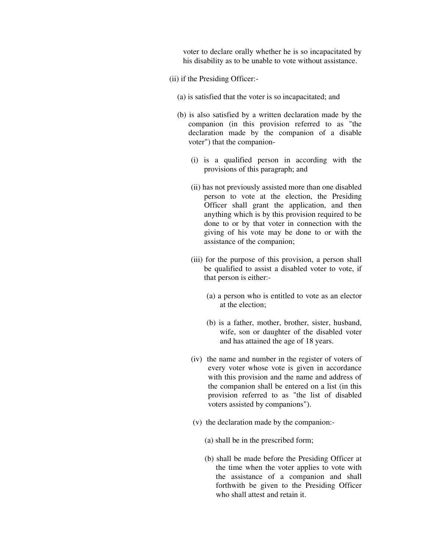voter to declare orally whether he is so incapacitated by his disability as to be unable to vote without assistance.

- (ii) if the Presiding Officer:-
	- (a) is satisfied that the voter is so incapacitated; and
	- (b) is also satisfied by a written declaration made by the companion (in this provision referred to as "the declaration made by the companion of a disable voter") that the companion-
		- (i) is a qualified person in according with the provisions of this paragraph; and
		- (ii) has not previously assisted more than one disabled person to vote at the election, the Presiding Officer shall grant the application, and then anything which is by this provision required to be done to or by that voter in connection with the giving of his vote may be done to or with the assistance of the companion;
		- (iii) for the purpose of this provision, a person shall be qualified to assist a disabled voter to vote, if that person is either:-
			- (a) a person who is entitled to vote as an elector at the election;
			- (b) is a father, mother, brother, sister, husband, wife, son or daughter of the disabled voter and has attained the age of 18 years.
		- (iv) the name and number in the register of voters of every voter whose vote is given in accordance with this provision and the name and address of the companion shall be entered on a list (in this provision referred to as "the list of disabled voters assisted by companions").
		- (v) the declaration made by the companion:-
			- (a) shall be in the prescribed form;
			- (b) shall be made before the Presiding Officer at the time when the voter applies to vote with the assistance of a companion and shall forthwith be given to the Presiding Officer who shall attest and retain it.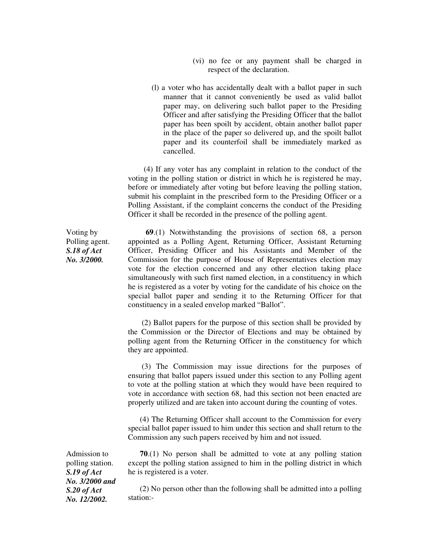- (vi) no fee or any payment shall be charged in respect of the declaration.
- (l) a voter who has accidentally dealt with a ballot paper in such manner that it cannot conveniently be used as valid ballot paper may, on delivering such ballot paper to the Presiding Officer and after satisfying the Presiding Officer that the ballot paper has been spoilt by accident, obtain another ballot paper in the place of the paper so delivered up, and the spoilt ballot paper and its counterfoil shall be immediately marked as cancelled.

 (4) If any voter has any complaint in relation to the conduct of the voting in the polling station or district in which he is registered he may, before or immediately after voting but before leaving the polling station, submit his complaint in the prescribed form to the Presiding Officer or a Polling Assistant, if the complaint concerns the conduct of the Presiding Officer it shall be recorded in the presence of the polling agent.

 **69**.(1) Notwithstanding the provisions of section 68, a person appointed as a Polling Agent, Returning Officer, Assistant Returning Officer, Presiding Officer and his Assistants and Member of the Commission for the purpose of House of Representatives election may vote for the election concerned and any other election taking place simultaneously with such first named election, in a constituency in which he is registered as a voter by voting for the candidate of his choice on the special ballot paper and sending it to the Returning Officer for that constituency in a sealed envelop marked "Ballot".

 (2) Ballot papers for the purpose of this section shall be provided by the Commission or the Director of Elections and may be obtained by polling agent from the Returning Officer in the constituency for which they are appointed.

 (3) The Commission may issue directions for the purposes of ensuring that ballot papers issued under this section to any Polling agent to vote at the polling station at which they would have been required to vote in accordance with section 68, had this section not been enacted are properly utilized and are taken into account during the counting of votes.

 (4) The Returning Officer shall account to the Commission for every special ballot paper issued to him under this section and shall return to the Commission any such papers received by him and not issued.

Admission to polling station. *S.19 of Act No. 3/2000 and S.20 of Act No. 12/2002.* 

 **70**.(1) No person shall be admitted to vote at any polling station except the polling station assigned to him in the polling district in which he is registered is a voter.

 (2) No person other than the following shall be admitted into a polling station:-

Voting by Polling agent. *S.18 of Act No. 3/2000.*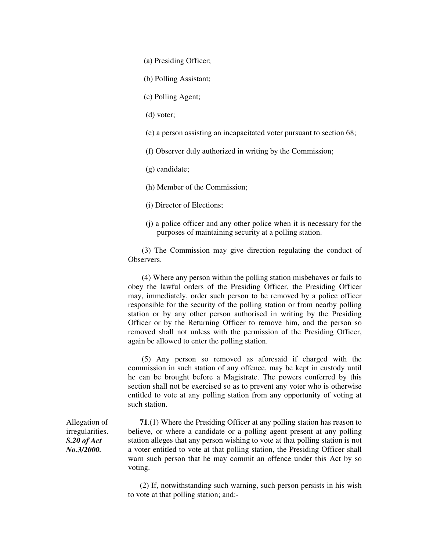(a) Presiding Officer;

(b) Polling Assistant;

(c) Polling Agent;

(d) voter;

(e) a person assisting an incapacitated voter pursuant to section 68;

(f) Observer duly authorized in writing by the Commission;

(g) candidate;

(h) Member of the Commission;

(i) Director of Elections;

 (j) a police officer and any other police when it is necessary for the purposes of maintaining security at a polling station.

 (3) The Commission may give direction regulating the conduct of **Observers** 

 (4) Where any person within the polling station misbehaves or fails to obey the lawful orders of the Presiding Officer, the Presiding Officer may, immediately, order such person to be removed by a police officer responsible for the security of the polling station or from nearby polling station or by any other person authorised in writing by the Presiding Officer or by the Returning Officer to remove him, and the person so removed shall not unless with the permission of the Presiding Officer, again be allowed to enter the polling station.

 (5) Any person so removed as aforesaid if charged with the commission in such station of any offence, may be kept in custody until he can be brought before a Magistrate. The powers conferred by this section shall not be exercised so as to prevent any voter who is otherwise entitled to vote at any polling station from any opportunity of voting at such station.

 **71**.(1) Where the Presiding Officer at any polling station has reason to believe, or where a candidate or a polling agent present at any polling station alleges that any person wishing to vote at that polling station is not a voter entitled to vote at that polling station, the Presiding Officer shall warn such person that he may commit an offence under this Act by so voting.

 (2) If, notwithstanding such warning, such person persists in his wish to vote at that polling station; and:-

Allegation of irregularities. *S.20 of Act No.3/2000.*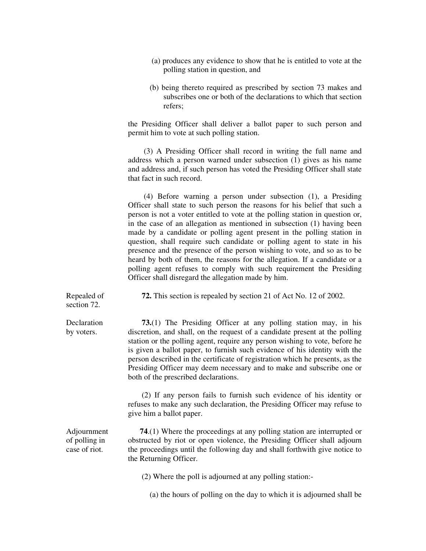- (a) produces any evidence to show that he is entitled to vote at the polling station in question, and
- (b) being thereto required as prescribed by section 73 makes and subscribes one or both of the declarations to which that section refers;

the Presiding Officer shall deliver a ballot paper to such person and permit him to vote at such polling station.

 (3) A Presiding Officer shall record in writing the full name and address which a person warned under subsection (1) gives as his name and address and, if such person has voted the Presiding Officer shall state that fact in such record.

 (4) Before warning a person under subsection (1), a Presiding Officer shall state to such person the reasons for his belief that such a person is not a voter entitled to vote at the polling station in question or, in the case of an allegation as mentioned in subsection (1) having been made by a candidate or polling agent present in the polling station in question, shall require such candidate or polling agent to state in his presence and the presence of the person wishing to vote, and so as to be heard by both of them, the reasons for the allegation. If a candidate or a polling agent refuses to comply with such requirement the Presiding Officer shall disregard the allegation made by him.

Repealed of  **72.** This section is repealed by section 21 of Act No. 12 of 2002.

section 72.

**Declaration** by voters.

 **73.**(1) The Presiding Officer at any polling station may, in his discretion, and shall, on the request of a candidate present at the polling station or the polling agent, require any person wishing to vote, before he is given a ballot paper, to furnish such evidence of his identity with the person described in the certificate of registration which he presents, as the Presiding Officer may deem necessary and to make and subscribe one or both of the prescribed declarations.

 (2) If any person fails to furnish such evidence of his identity or refuses to make any such declaration, the Presiding Officer may refuse to give him a ballot paper.

 **74**.(1) Where the proceedings at any polling station are interrupted or obstructed by riot or open violence, the Presiding Officer shall adjourn the proceedings until the following day and shall forthwith give notice to the Returning Officer.

(2) Where the poll is adjourned at any polling station:-

(a) the hours of polling on the day to which it is adjourned shall be

Adjournment of polling in case of riot.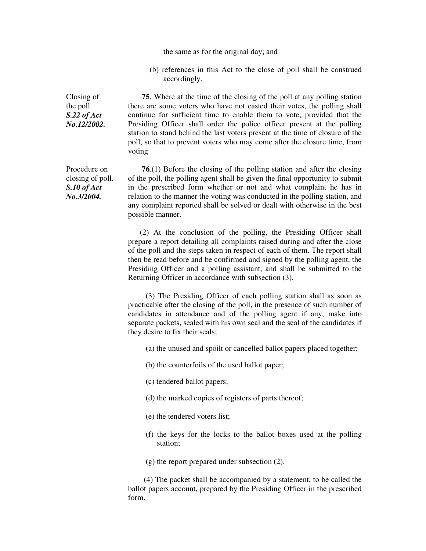the same as for the original day; and

 (b) references in this Act to the close of poll shall be construed accordingly.

*No.12/2002.*  **75**. Where at the time of the closing of the poll at any polling station there are some voters who have not casted their votes, the polling shall continue for sufficient time to enable them to vote, provided that the Presiding Officer shall order the police officer present at the polling station to stand behind the last voters present at the time of closure of the poll, so that to prevent voters who may come after the closure time, from voting

Procedure on closing of poll. *S.10 of Act No.3/2004.* 

Closing of the poll. *S.22 of Act* 

> **76**.(1) Before the closing of the polling station and after the closing of the poll, the polling agent shall be given the final opportunity to submit in the prescribed form whether or not and what complaint he has in relation to the manner the voting was conducted in the polling station, and any complaint reported shall be solved or dealt with otherwise in the best possible manner.

> (2) At the conclusion of the polling, the Presiding Officer shall prepare a report detailing all complaints raised during and after the close of the poll and the steps taken in respect of each of them. The report shall then be read before and be confirmed and signed by the polling agent, the Presiding Officer and a polling assistant, and shall be submitted to the Returning Officer in accordance with subsection (3).

> (3) The Presiding Officer of each polling station shall as soon as practicable after the closing of the poll, in the presence of such number of candidates in attendance and of the polling agent if any, make into separate packets, sealed with his own seal and the seal of the candidates if they desire to fix their seals;

(a) the unused and spoilt or cancelled ballot papers placed together;

(b) the counterfoils of the used ballot paper;

- (c) tendered ballot papers;
- (d) the marked copies of registers of parts thereof;
- (e) the tendered voters list;
- (f) the keys for the locks to the ballot boxes used at the polling station;
- (g) the report prepared under subsection (2).

 (4) The packet shall be accompanied by a statement, to be called the ballot papers account, prepared by the Presiding Officer in the prescribed form.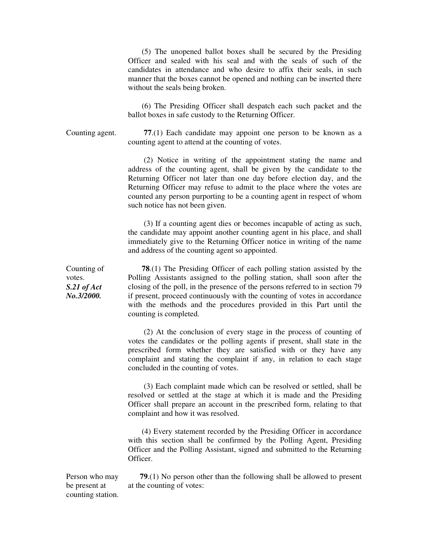(5) The unopened ballot boxes shall be secured by the Presiding Officer and sealed with his seal and with the seals of such of the candidates in attendance and who desire to affix their seals, in such manner that the boxes cannot be opened and nothing can be inserted there without the seals being broken.

 (6) The Presiding Officer shall despatch each such packet and the ballot boxes in safe custody to the Returning Officer.

Counting agent. **77**.(1) Each candidate may appoint one person to be known as a counting agent to attend at the counting of votes.

> (2) Notice in writing of the appointment stating the name and address of the counting agent, shall be given by the candidate to the Returning Officer not later than one day before election day, and the Returning Officer may refuse to admit to the place where the votes are counted any person purporting to be a counting agent in respect of whom such notice has not been given.

> (3) If a counting agent dies or becomes incapable of acting as such, the candidate may appoint another counting agent in his place, and shall immediately give to the Returning Officer notice in writing of the name and address of the counting agent so appointed.

 **78**.(1) The Presiding Officer of each polling station assisted by the Polling Assistants assigned to the polling station, shall soon after the closing of the poll, in the presence of the persons referred to in section 79 if present, proceed continuously with the counting of votes in accordance with the methods and the procedures provided in this Part until the counting is completed.

 (2) At the conclusion of every stage in the process of counting of votes the candidates or the polling agents if present, shall state in the prescribed form whether they are satisfied with or they have any complaint and stating the complaint if any, in relation to each stage concluded in the counting of votes.

 (3) Each complaint made which can be resolved or settled, shall be resolved or settled at the stage at which it is made and the Presiding Officer shall prepare an account in the prescribed form, relating to that complaint and how it was resolved.

 (4) Every statement recorded by the Presiding Officer in accordance with this section shall be confirmed by the Polling Agent, Presiding Officer and the Polling Assistant, signed and submitted to the Returning Officer.

Person who may be present at counting station. **79**.(1) No person other than the following shall be allowed to present at the counting of votes:

Counting of votes. *S.21 of Act No.3/2000.*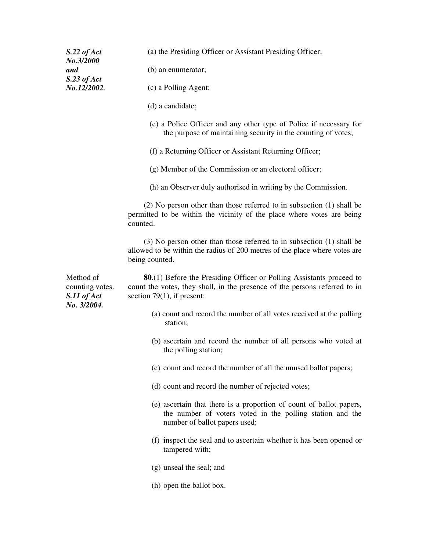| $S.22$ of Act<br>No.3/2000                  | (a) the Presiding Officer or Assistant Presiding Officer;                                                                                                                                   |
|---------------------------------------------|---------------------------------------------------------------------------------------------------------------------------------------------------------------------------------------------|
| and                                         | (b) an enumerator;                                                                                                                                                                          |
| $S.23$ of Act<br>No.12/2002.                | (c) a Polling Agent;                                                                                                                                                                        |
|                                             | (d) a candidate;                                                                                                                                                                            |
|                                             | (e) a Police Officer and any other type of Police if necessary for<br>the purpose of maintaining security in the counting of votes;                                                         |
|                                             | (f) a Returning Officer or Assistant Returning Officer;                                                                                                                                     |
|                                             | (g) Member of the Commission or an electoral officer;                                                                                                                                       |
|                                             | (h) an Observer duly authorised in writing by the Commission.                                                                                                                               |
|                                             | $(2)$ No person other than those referred to in subsection $(1)$ shall be<br>permitted to be within the vicinity of the place where votes are being<br>counted.                             |
|                                             | $(3)$ No person other than those referred to in subsection $(1)$ shall be<br>allowed to be within the radius of 200 metres of the place where votes are<br>being counted.                   |
| Method of<br>counting votes.<br>S.11 of Act |                                                                                                                                                                                             |
|                                             | <b>80.</b> (1) Before the Presiding Officer or Polling Assistants proceed to<br>count the votes, they shall, in the presence of the persons referred to in<br>section $79(1)$ , if present: |
| No. 3/2004.                                 | (a) count and record the number of all votes received at the polling<br>station;                                                                                                            |
|                                             | (b) ascertain and record the number of all persons who voted at<br>the polling station;                                                                                                     |
|                                             | (c) count and record the number of all the unused ballot papers;                                                                                                                            |
|                                             | (d) count and record the number of rejected votes;                                                                                                                                          |
|                                             | (e) ascertain that there is a proportion of count of ballot papers,<br>the number of voters voted in the polling station and the<br>number of ballot papers used;                           |
|                                             | (f) inspect the seal and to ascertain whether it has been opened or<br>tampered with;                                                                                                       |
|                                             | (g) unseal the seal; and                                                                                                                                                                    |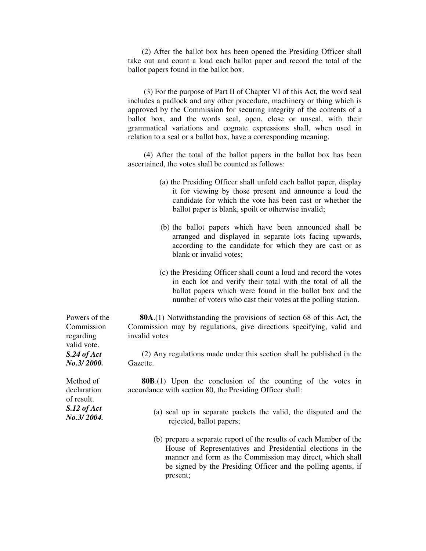(2) After the ballot box has been opened the Presiding Officer shall take out and count a loud each ballot paper and record the total of the ballot papers found in the ballot box.

 (3) For the purpose of Part II of Chapter VI of this Act, the word seal includes a padlock and any other procedure, machinery or thing which is approved by the Commission for securing integrity of the contents of a ballot box, and the words seal, open, close or unseal, with their grammatical variations and cognate expressions shall, when used in relation to a seal or a ballot box, have a corresponding meaning.

 (4) After the total of the ballot papers in the ballot box has been ascertained, the votes shall be counted as follows:

- (a) the Presiding Officer shall unfold each ballot paper, display it for viewing by those present and announce a loud the candidate for which the vote has been cast or whether the ballot paper is blank, spoilt or otherwise invalid;
- (b) the ballot papers which have been announced shall be arranged and displayed in separate lots facing upwards, according to the candidate for which they are cast or as blank or invalid votes;
- (c) the Presiding Officer shall count a loud and record the votes in each lot and verify their total with the total of all the ballot papers which were found in the ballot box and the number of voters who cast their votes at the polling station.

 **80A**.(1) Notwithstanding the provisions of section 68 of this Act, the Commission may by regulations, give directions specifying, valid and invalid votes

 (2) Any regulations made under this section shall be published in the Gazette.

 **80B**.(1) Upon the conclusion of the counting of the votes in accordance with section 80, the Presiding Officer shall:

- (a) seal up in separate packets the valid, the disputed and the rejected, ballot papers;
- (b) prepare a separate report of the results of each Member of the House of Representatives and Presidential elections in the manner and form as the Commission may direct, which shall be signed by the Presiding Officer and the polling agents, if present;

Powers of the Commission regarding valid vote. *S.24 of Act No.3/ 2000.* 

Method of declaration of result. *S.12 of Act No.3/ 2004.*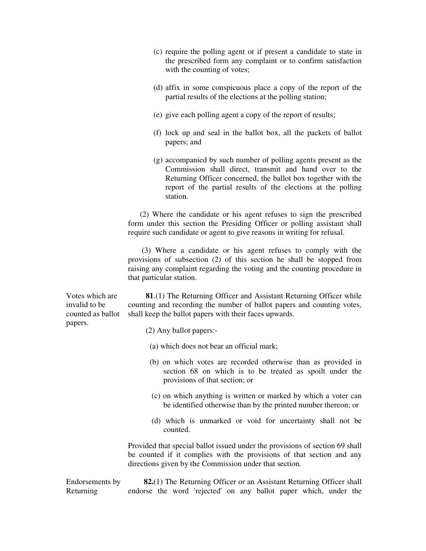- (c) require the polling agent or if present a candidate to state in the prescribed form any complaint or to confirm satisfaction with the counting of votes;
- (d) affix in some conspicuous place a copy of the report of the partial results of the elections at the polling station;
- (e) give each polling agent a copy of the report of results;
- (f) lock up and seal in the ballot box, all the packets of ballot papers; and
- (g) accompanied by such number of polling agents present as the Commission shall direct, transmit and hand over to the Returning Officer concerned, the ballot box together with the report of the partial results of the elections at the polling station.

 (2) Where the candidate or his agent refuses to sign the prescribed form under this section the Presiding Officer or polling assistant shall require such candidate or agent to give reasons in writing for refusal.

 (3) Where a candidate or his agent refuses to comply with the provisions of subsection (2) of this section he shall be stopped from raising any complaint regarding the voting and the counting procedure in that particular station.

 **81**.(1) The Returning Officer and Assistant Returning Officer while counting and recording the number of ballot papers and counting votes, shall keep the ballot papers with their faces upwards.

(2) Any ballot papers:-

- (a) which does not bear an official mark;
- (b) on which votes are recorded otherwise than as provided in section 68 on which is to be treated as spoilt under the provisions of that section; or
- (c) on which anything is written or marked by which a voter can be identified otherwise than by the printed number thereon; or
- (d) which is unmarked or void for uncertainty shall not be counted.

Provided that special ballot issued under the provisions of section 69 shall be counted if it complies with the provisions of that section and any directions given by the Commission under that section.

Endorsements by Returning **82.**(1) The Returning Officer or an Assistant Returning Officer shall endorse the word 'rejected' on any ballot paper which, under the

Votes which are invalid to be counted as ballot papers.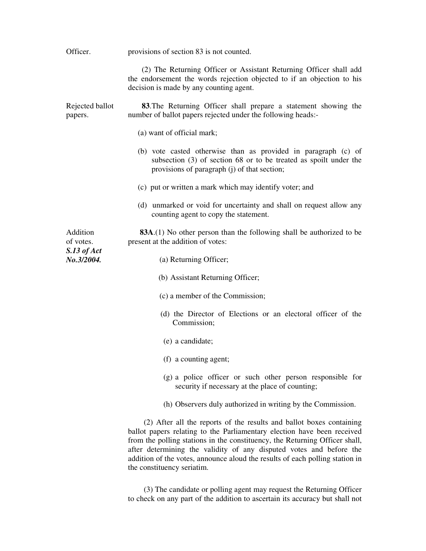| Officer.                   | provisions of section 83 is not counted.                                                                                                                                                                                                                                                                                                                                              |
|----------------------------|---------------------------------------------------------------------------------------------------------------------------------------------------------------------------------------------------------------------------------------------------------------------------------------------------------------------------------------------------------------------------------------|
|                            | (2) The Returning Officer or Assistant Returning Officer shall add<br>the endorsement the words rejection objected to if an objection to his<br>decision is made by any counting agent.                                                                                                                                                                                               |
| Rejected ballot<br>papers. | <b>83.</b> The Returning Officer shall prepare a statement showing the<br>number of ballot papers rejected under the following heads:-                                                                                                                                                                                                                                                |
|                            | (a) want of official mark;                                                                                                                                                                                                                                                                                                                                                            |
|                            | (b) vote casted otherwise than as provided in paragraph (c) of<br>subsection $(3)$ of section 68 or to be treated as spoilt under the<br>provisions of paragraph (j) of that section;                                                                                                                                                                                                 |
|                            | (c) put or written a mark which may identify voter; and                                                                                                                                                                                                                                                                                                                               |
|                            | (d) unmarked or void for uncertainty and shall on request allow any<br>counting agent to copy the statement.                                                                                                                                                                                                                                                                          |
| Addition<br>of votes.      | <b>83A.</b> (1) No other person than the following shall be authorized to be<br>present at the addition of votes:                                                                                                                                                                                                                                                                     |
| S.13 of Act<br>No.3/2004.  | (a) Returning Officer;                                                                                                                                                                                                                                                                                                                                                                |
|                            | (b) Assistant Returning Officer;                                                                                                                                                                                                                                                                                                                                                      |
|                            | (c) a member of the Commission;                                                                                                                                                                                                                                                                                                                                                       |
|                            | (d) the Director of Elections or an electoral officer of the<br>Commission;                                                                                                                                                                                                                                                                                                           |
|                            | (e) a candidate;                                                                                                                                                                                                                                                                                                                                                                      |
|                            | (f) a counting agent;                                                                                                                                                                                                                                                                                                                                                                 |
|                            | (g) a police officer or such other person responsible for<br>security if necessary at the place of counting;                                                                                                                                                                                                                                                                          |
|                            | (h) Observers duly authorized in writing by the Commission.                                                                                                                                                                                                                                                                                                                           |
|                            | (2) After all the reports of the results and ballot boxes containing<br>ballot papers relating to the Parliamentary election have been received<br>from the polling stations in the constituency, the Returning Officer shall,<br>after determining the validity of any disputed votes and before the<br>addition of the votes, announce aloud the results of each polling station in |

 (3) The candidate or polling agent may request the Returning Officer to check on any part of the addition to ascertain its accuracy but shall not

the constituency seriatim.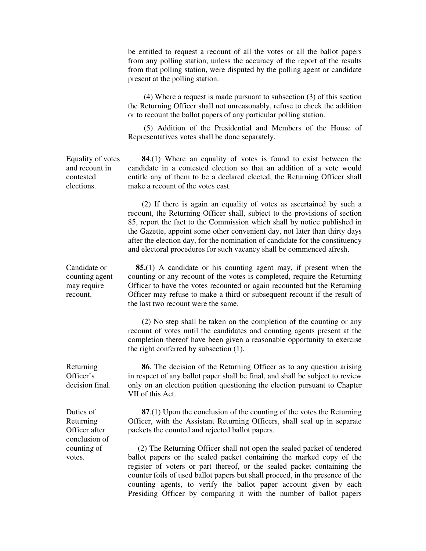be entitled to request a recount of all the votes or all the ballot papers from any polling station, unless the accuracy of the report of the results from that polling station, were disputed by the polling agent or candidate present at the polling station. (4) Where a request is made pursuant to subsection (3) of this section the Returning Officer shall not unreasonably, refuse to check the addition or to recount the ballot papers of any particular polling station. (5) Addition of the Presidential and Members of the House of Representatives votes shall be done separately. Equality of votes and recount in contested elections. **84**.(1) Where an equality of votes is found to exist between the candidate in a contested election so that an addition of a vote would entitle any of them to be a declared elected, the Returning Officer shall make a recount of the votes cast. (2) If there is again an equality of votes as ascertained by such a recount, the Returning Officer shall, subject to the provisions of section 85, report the fact to the Commission which shall by notice published in the Gazette, appoint some other convenient day, not later than thirty days after the election day, for the nomination of candidate for the constituency and electoral procedures for such vacancy shall be commenced afresh. Candidate or counting agent may require recount. **85.**(1) A candidate or his counting agent may, if present when the counting or any recount of the votes is completed, require the Returning Officer to have the votes recounted or again recounted but the Returning Officer may refuse to make a third or subsequent recount if the result of the last two recount were the same. (2) No step shall be taken on the completion of the counting or any recount of votes until the candidates and counting agents present at the completion thereof have been given a reasonable opportunity to exercise the right conferred by subsection (1). Returning Officer's decision final. **86**. The decision of the Returning Officer as to any question arising in respect of any ballot paper shall be final, and shall be subject to review only on an election petition questioning the election pursuant to Chapter VII of this Act. Duties of Returning Officer after conclusion of counting of votes. **87**.(1) Upon the conclusion of the counting of the votes the Returning Officer, with the Assistant Returning Officers, shall seal up in separate packets the counted and rejected ballot papers. (2) The Returning Officer shall not open the sealed packet of tendered ballot papers or the sealed packet containing the marked copy of the register of voters or part thereof, or the sealed packet containing the counter foils of used ballot papers but shall proceed, in the presence of the counting agents, to verify the ballot paper account given by each Presiding Officer by comparing it with the number of ballot papers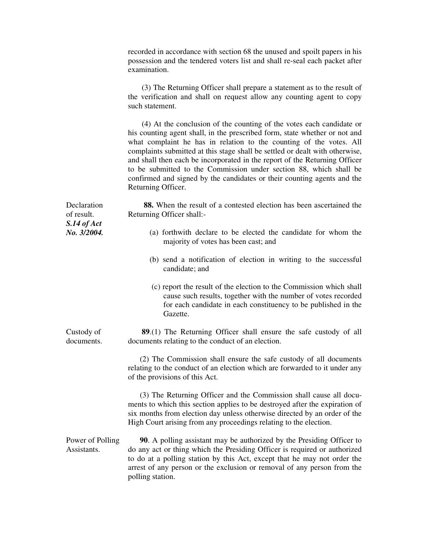recorded in accordance with section 68 the unused and spoilt papers in his possession and the tendered voters list and shall re-seal each packet after examination.

 (3) The Returning Officer shall prepare a statement as to the result of the verification and shall on request allow any counting agent to copy such statement.

 (4) At the conclusion of the counting of the votes each candidate or his counting agent shall, in the prescribed form, state whether or not and what complaint he has in relation to the counting of the votes. All complaints submitted at this stage shall be settled or dealt with otherwise, and shall then each be incorporated in the report of the Returning Officer to be submitted to the Commission under section 88, which shall be confirmed and signed by the candidates or their counting agents and the Returning Officer.

| Declaration<br>of result.<br>$S.14$ of Act | 88. When the result of a contested election has been ascertained the<br>Returning Officer shall:-                                                                                                                                                                                                                                    |
|--------------------------------------------|--------------------------------------------------------------------------------------------------------------------------------------------------------------------------------------------------------------------------------------------------------------------------------------------------------------------------------------|
| No. 3/2004.                                | (a) forthwith declare to be elected the candidate for whom the<br>majority of votes has been cast; and                                                                                                                                                                                                                               |
|                                            | (b) send a notification of election in writing to the successful<br>candidate; and                                                                                                                                                                                                                                                   |
|                                            | (c) report the result of the election to the Commission which shall<br>cause such results, together with the number of votes recorded<br>for each candidate in each constituency to be published in the<br>Gazette.                                                                                                                  |
| Custody of<br>documents.                   | <b>89.</b> (1) The Returning Officer shall ensure the safe custody of all<br>documents relating to the conduct of an election.                                                                                                                                                                                                       |
|                                            | (2) The Commission shall ensure the safe custody of all documents<br>relating to the conduct of an election which are forwarded to it under any<br>of the provisions of this Act.                                                                                                                                                    |
|                                            | (3) The Returning Officer and the Commission shall cause all docu-<br>ments to which this section applies to be destroyed after the expiration of<br>six months from election day unless otherwise directed by an order of the<br>High Court arising from any proceedings relating to the election.                                  |
| Power of Polling<br>Assistants.            | <b>90.</b> A polling assistant may be authorized by the Presiding Officer to<br>do any act or thing which the Presiding Officer is required or authorized<br>to do at a polling station by this Act, except that he may not order the<br>arrest of any person or the exclusion or removal of any person from the<br>polling station. |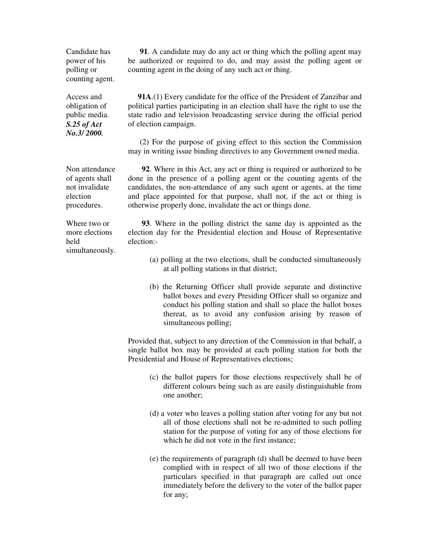**91**. A candidate may do any act or thing which the polling agent may be authorized or required to do, and may assist the polling agent or counting agent in the doing of any such act or thing.

Candidate has power of his polling or counting agent.

Access and obligation of public media. *S.25 of Act No.3/ 2000.*

 **91A**.(1) Every candidate for the office of the President of Zanzibar and political parties participating in an election shall have the right to use the state radio and television broadcasting service during the official period of election campaign.

 (2) For the purpose of giving effect to this section the Commission may in writing issue binding directives to any Government owned media.

 **92**. Where in this Act, any act or thing is required or authorized to be done in the presence of a polling agent or the counting agents of the candidates, the non-attendance of any such agent or agents, at the time and place appointed for that purpose, shall not, if the act or thing is otherwise properly done, invalidate the act or things done.

Where two or more elections held simultaneously.

Non attendance of agents shall not invalidate election procedures.

> **93**. Where in the polling district the same day is appointed as the election day for the Presidential election and House of Representative election:-

- (a) polling at the two elections, shall be conducted simultaneously at all polling stations in that district;
- (b) the Returning Officer shall provide separate and distinctive ballot boxes and every Presiding Officer shall so organize and conduct his polling station and shall so place the ballot boxes thereat, as to avoid any confusion arising by reason of simultaneous polling;

Provided that, subject to any direction of the Commission in that behalf, a single ballot box may be provided at each polling station for both the Presidential and House of Representatives elections;

- (c) the ballot papers for those elections respectively shall be of different colours being such as are easily distinguishable from one another;
- (d) a voter who leaves a polling station after voting for any but not all of those elections shall not be re-admitted to such polling station for the purpose of voting for any of those elections for which he did not vote in the first instance;
- (e) the requirements of paragraph (d) shall be deemed to have been complied with in respect of all two of those elections if the particulars specified in that paragraph are called out once immediately before the delivery to the voter of the ballot paper for any;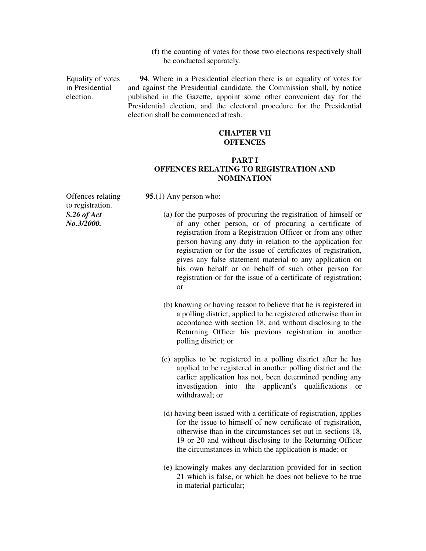(f) the counting of votes for those two elections respectively shall be conducted separately.

Equality of votes in Presidential election.

 **94**. Where in a Presidential election there is an equality of votes for and against the Presidential candidate, the Commission shall, by notice published in the Gazette, appoint some other convenient day for the Presidential election, and the electoral procedure for the Presidential election shall be commenced afresh.

#### **CHAPTER VII OFFENCES**

# **PART I OFFENCES RELATING TO REGISTRATION AND NOMINATION**

Offences relating to registration. *S.26 of Act No.3/2000.* 

**95**.(1) Any person who:

- (a) for the purposes of procuring the registration of himself or of any other person, or of procuring a certificate of registration from a Registration Officer or from any other person having any duty in relation to the application for registration or for the issue of certificates of registration, gives any false statement material to any application on his own behalf or on behalf of such other person for registration or for the issue of a certificate of registration; or
- (b) knowing or having reason to believe that he is registered in a polling district, applied to be registered otherwise than in accordance with section 18, and without disclosing to the Returning Officer his previous registration in another polling district; or
- (c) applies to be registered in a polling district after he has applied to be registered in another polling district and the earlier application has not, been determined pending any investigation into the applicant's qualifications or withdrawal; or
- (d) having been issued with a certificate of registration, applies for the issue to himself of new certificate of registration, otherwise than in the circumstances set out in sections 18, 19 or 20 and without disclosing to the Returning Officer the circumstances in which the application is made; or
- (e) knowingly makes any declaration provided for in section 21 which is false, or which he does not believe to be true in material particular;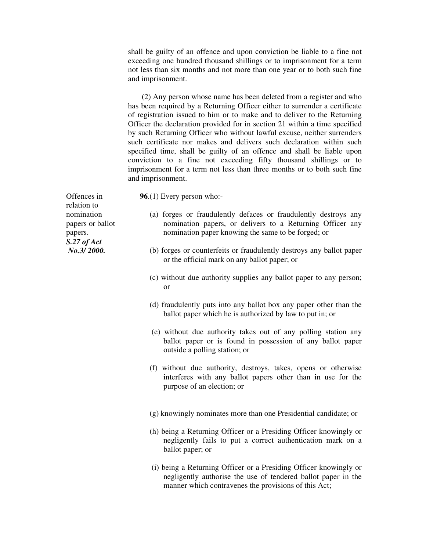shall be guilty of an offence and upon conviction be liable to a fine not exceeding one hundred thousand shillings or to imprisonment for a term not less than six months and not more than one year or to both such fine and imprisonment.

 (2) Any person whose name has been deleted from a register and who has been required by a Returning Officer either to surrender a certificate of registration issued to him or to make and to deliver to the Returning Officer the declaration provided for in section 21 within a time specified by such Returning Officer who without lawful excuse, neither surrenders such certificate nor makes and delivers such declaration within such specified time, shall be guilty of an offence and shall be liable upon conviction to a fine not exceeding fifty thousand shillings or to imprisonment for a term not less than three months or to both such fine and imprisonment.

Offences in relation to nomination papers or ballot papers. *S.27 of Act No.3/ 2000.* 

- **96**.(1) Every person who:-
	- (a) forges or fraudulently defaces or fraudulently destroys any nomination papers, or delivers to a Returning Officer any nomination paper knowing the same to be forged; or
	- (b) forges or counterfeits or fraudulently destroys any ballot paper or the official mark on any ballot paper; or
	- (c) without due authority supplies any ballot paper to any person; or
	- (d) fraudulently puts into any ballot box any paper other than the ballot paper which he is authorized by law to put in; or
	- (e) without due authority takes out of any polling station any ballot paper or is found in possession of any ballot paper outside a polling station; or
	- (f) without due authority, destroys, takes, opens or otherwise interferes with any ballot papers other than in use for the purpose of an election; or
	- (g) knowingly nominates more than one Presidential candidate; or
	- (h) being a Returning Officer or a Presiding Officer knowingly or negligently fails to put a correct authentication mark on a ballot paper; or
	- (i) being a Returning Officer or a Presiding Officer knowingly or negligently authorise the use of tendered ballot paper in the manner which contravenes the provisions of this Act;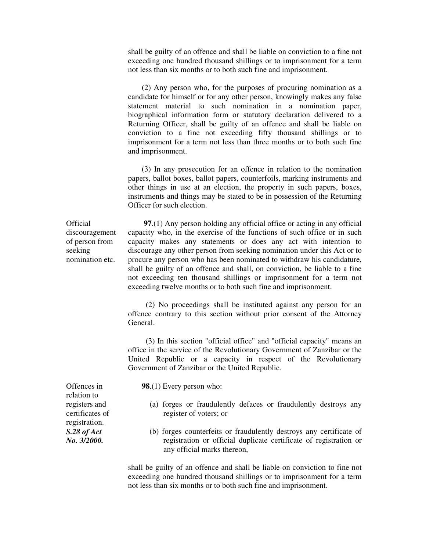shall be guilty of an offence and shall be liable on conviction to a fine not exceeding one hundred thousand shillings or to imprisonment for a term not less than six months or to both such fine and imprisonment.

 (2) Any person who, for the purposes of procuring nomination as a candidate for himself or for any other person, knowingly makes any false statement material to such nomination in a nomination paper, biographical information form or statutory declaration delivered to a Returning Officer, shall be guilty of an offence and shall be liable on conviction to a fine not exceeding fifty thousand shillings or to imprisonment for a term not less than three months or to both such fine and imprisonment.

 (3) In any prosecution for an offence in relation to the nomination papers, ballot boxes, ballot papers, counterfoils, marking instruments and other things in use at an election, the property in such papers, boxes, instruments and things may be stated to be in possession of the Returning Officer for such election.

**Official** discouragement of person from seeking nomination etc.

 **97**.(1) Any person holding any official office or acting in any official capacity who, in the exercise of the functions of such office or in such capacity makes any statements or does any act with intention to discourage any other person from seeking nomination under this Act or to procure any person who has been nominated to withdraw his candidature, shall be guilty of an offence and shall, on conviction, be liable to a fine not exceeding ten thousand shillings or imprisonment for a term not exceeding twelve months or to both such fine and imprisonment.

 (2) No proceedings shall be instituted against any person for an offence contrary to this section without prior consent of the Attorney General.

 (3) In this section "official office" and "official capacity" means an office in the service of the Revolutionary Government of Zanzibar or the United Republic or a capacity in respect of the Revolutionary Government of Zanzibar or the United Republic.

**98**.(1) Every person who:

- (a) forges or fraudulently defaces or fraudulently destroys any register of voters; or
- (b) forges counterfeits or fraudulently destroys any certificate of registration or official duplicate certificate of registration or any official marks thereon,

shall be guilty of an offence and shall be liable on conviction to fine not exceeding one hundred thousand shillings or to imprisonment for a term not less than six months or to both such fine and imprisonment.

Offences in relation to registers and certificates of registration. *S.28 of Act No. 3/2000.*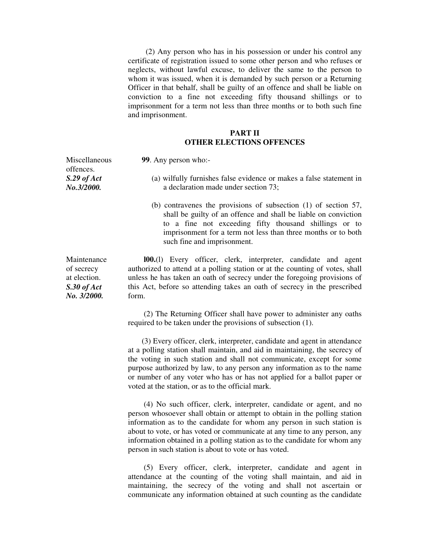(2) Any person who has in his possession or under his control any certificate of registration issued to some other person and who refuses or neglects, without lawful excuse, to deliver the same to the person to whom it was issued, when it is demanded by such person or a Returning Officer in that behalf, shall be guilty of an offence and shall be liable on conviction to a fine not exceeding fifty thousand shillings or to imprisonment for a term not less than three months or to both such fine and imprisonment.

#### **PART II OTHER ELECTIONS OFFENCES**

**99**. Any person who:-

- (a) wilfully furnishes false evidence or makes a false statement in a declaration made under section 73;
- (b) contravenes the provisions of subsection (1) of section 57, shall be guilty of an offence and shall be liable on conviction to a fine not exceeding fifty thousand shillings or to imprisonment for a term not less than three months or to both such fine and imprisonment.

 **l00.**(l) Every officer, clerk, interpreter, candidate and agent authorized to attend at a polling station or at the counting of votes, shall unless he has taken an oath of secrecy under the foregoing provisions of this Act, before so attending takes an oath of secrecy in the prescribed form.

 (2) The Returning Officer shall have power to administer any oaths required to be taken under the provisions of subsection (1).

 (3) Every officer, clerk, interpreter, candidate and agent in attendance at a polling station shall maintain, and aid in maintaining, the secrecy of the voting in such station and shall not communicate, except for some purpose authorized by law, to any person any information as to the name or number of any voter who has or has not applied for a ballot paper or voted at the station, or as to the official mark.

 (4) No such officer, clerk, interpreter, candidate or agent, and no person whosoever shall obtain or attempt to obtain in the polling station information as to the candidate for whom any person in such station is about to vote, or has voted or communicate at any time to any person, any information obtained in a polling station as to the candidate for whom any person in such station is about to vote or has voted.

 (5) Every officer, clerk, interpreter, candidate and agent in attendance at the counting of the voting shall maintain, and aid in maintaining, the secrecy of the voting and shall not ascertain or communicate any information obtained at such counting as the candidate

Maintenance of secrecy at election. *S.30 of Act No. 3/2000.*

Miscellaneous offences. *S.29 of Act No.3/2000.*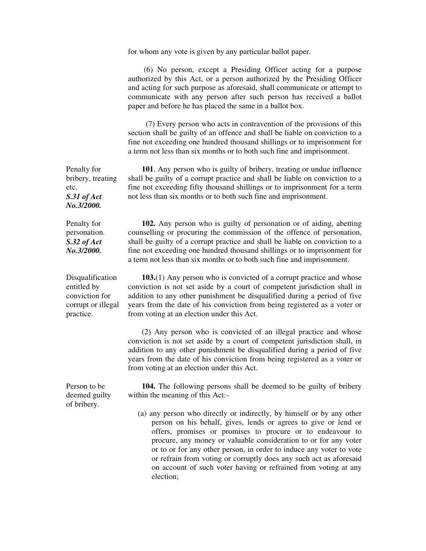for whom any vote is given by any particular ballot paper.

 (6) No person, except a Presiding Officer acting for a purpose authorized by this Act, or a person authorized by the Presiding Officer and acting for such purpose as aforesaid, shall communicate or attempt to communicate with any person after such person has received a ballot paper and before he has placed the same in a ballot box.

 (7) Every person who acts in contravention of the provisions of this section shall be guilty of an offence and shall be liable on conviction to a fine not exceeding one hundred thousand shillings or to imprisonment for a term not less than six months or to both such fine and imprisonment.

Penalty for **101**. Any person who is guilty of bribery, treating or undue influence shall be guilty of a corrupt practice and shall be liable on conviction to a fine not exceeding fifty thousand shillings or to imprisonment for a term not less than six months or to both such fine and imprisonment.

> **102.** Any person who is guilty of personation or of aiding, abetting counselling or procuring the commission of the offence of personation, shall be guilty of a corrupt practice and shall be liable on conviction to a fine not exceeding one hundred thousand shillings or to imprisonment for a term not less than six months or to both such fine and imprisonment.

 **103.**(1) Any person who is convicted of a corrupt practice and whose conviction is not set aside by a court of competent jurisdiction shall in addition to any other punishment be disqualified during a period of five years from the date of his conviction from being registered as a voter or from voting at an election under this Act.

 (2) Any person who is convicted of an illegal practice and whose conviction is not set aside by a court of competent jurisdiction shall, in addition to any other punishment be disqualified during a period of five years from the date of his conviction from being registered as a voter or from voting at an election under this Act.

Person to be deemed guilty of bribery.

 **104.** The following persons shall be deemed to be guilty of bribery within the meaning of this Act:-

 (a) any person who directly or indirectly, by himself or by any other person on his behalf, gives, lends or agrees to give or lend or offers, promises or promises to procure or to endeavour to procure, any money or valuable consideration to or for any voter or to or for any other person, in order to induce any voter to vote or refrain from voting or corruptly does any such act as aforesaid on account of such voter having or refrained from voting at any election;

bribery, treating etc. *S.31 of Act No.3/2000.* 

Penalty for personation. *S.32 of Act No.3/2000.* 

Disqualification entitled by conviction for corrupt or illegal practice.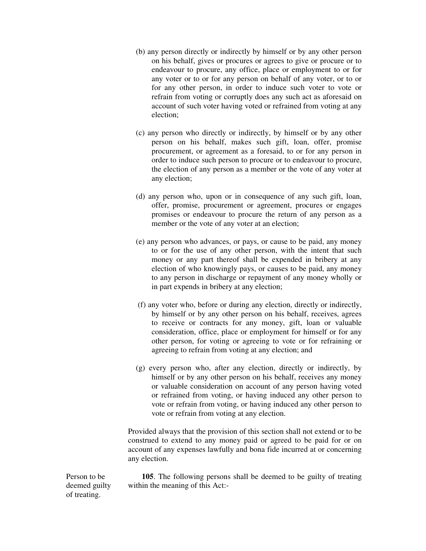- (b) any person directly or indirectly by himself or by any other person on his behalf, gives or procures or agrees to give or procure or to endeavour to procure, any office, place or employment to or for any voter or to or for any person on behalf of any voter, or to or for any other person, in order to induce such voter to vote or refrain from voting or corruptly does any such act as aforesaid on account of such voter having voted or refrained from voting at any election;
- (c) any person who directly or indirectly, by himself or by any other person on his behalf, makes such gift, loan, offer, promise procurement, or agreement as a foresaid, to or for any person in order to induce such person to procure or to endeavour to procure, the election of any person as a member or the vote of any voter at any election;
- (d) any person who, upon or in consequence of any such gift, loan, offer, promise, procurement or agreement, procures or engages promises or endeavour to procure the return of any person as a member or the vote of any voter at an election;
- (e) any person who advances, or pays, or cause to be paid, any money to or for the use of any other person, with the intent that such money or any part thereof shall be expended in bribery at any election of who knowingly pays, or causes to be paid, any money to any person in discharge or repayment of any money wholly or in part expends in bribery at any election;
- (f) any voter who, before or during any election, directly or indirectly, by himself or by any other person on his behalf, receives, agrees to receive or contracts for any money, gift, loan or valuable consideration, office, place or employment for himself or for any other person, for voting or agreeing to vote or for refraining or agreeing to refrain from voting at any election; and
- (g) every person who, after any election, directly or indirectly, by himself or by any other person on his behalf, receives any money or valuable consideration on account of any person having voted or refrained from voting, or having induced any other person to vote or refrain from voting, or having induced any other person to vote or refrain from voting at any election.

Provided always that the provision of this section shall not extend or to be construed to extend to any money paid or agreed to be paid for or on account of any expenses lawfully and bona fide incurred at or concerning any election.

Person to be deemed guilty of treating.

 **105**. The following persons shall be deemed to be guilty of treating within the meaning of this Act:-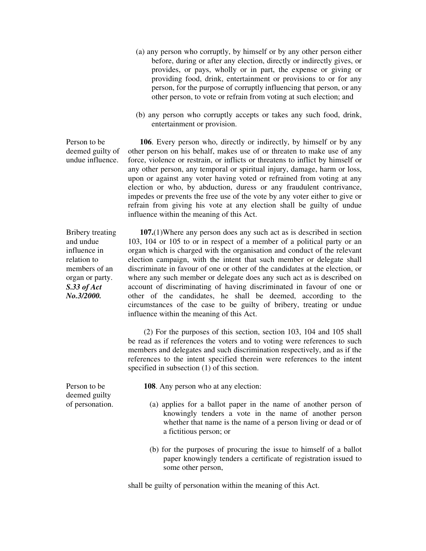- (a) any person who corruptly, by himself or by any other person either before, during or after any election, directly or indirectly gives, or provides, or pays, wholly or in part, the expense or giving or providing food, drink, entertainment or provisions to or for any person, for the purpose of corruptly influencing that person, or any other person, to vote or refrain from voting at such election; and
- (b) any person who corruptly accepts or takes any such food, drink, entertainment or provision.

Person to be deemed guilty of undue influence.

 **106**. Every person who, directly or indirectly, by himself or by any other person on his behalf, makes use of or threaten to make use of any force, violence or restrain, or inflicts or threatens to inflict by himself or any other person, any temporal or spiritual injury, damage, harm or loss, upon or against any voter having voted or refrained from voting at any election or who, by abduction, duress or any fraudulent contrivance, impedes or prevents the free use of the vote by any voter either to give or refrain from giving his vote at any election shall be guilty of undue influence within the meaning of this Act.

Bribery treating and undue influence in relation to members of an organ or party. *S.33 of Act No.3/2000.* 

 **107.**(1)Where any person does any such act as is described in section 103, 104 or 105 to or in respect of a member of a political party or an organ which is charged with the organisation and conduct of the relevant election campaign, with the intent that such member or delegate shall discriminate in favour of one or other of the candidates at the election, or where any such member or delegate does any such act as is described on account of discriminating of having discriminated in favour of one or other of the candidates, he shall be deemed, according to the circumstances of the case to be guilty of bribery, treating or undue influence within the meaning of this Act.

 (2) For the purposes of this section, section 103, 104 and 105 shall be read as if references the voters and to voting were references to such members and delegates and such discrimination respectively, and as if the references to the intent specified therein were references to the intent specified in subsection (1) of this section.

**108**. Any person who at any election:

- (a) applies for a ballot paper in the name of another person of knowingly tenders a vote in the name of another person whether that name is the name of a person living or dead or of a fictitious person; or
- (b) for the purposes of procuring the issue to himself of a ballot paper knowingly tenders a certificate of registration issued to some other person,

shall be guilty of personation within the meaning of this Act.

Person to be deemed guilty of personation.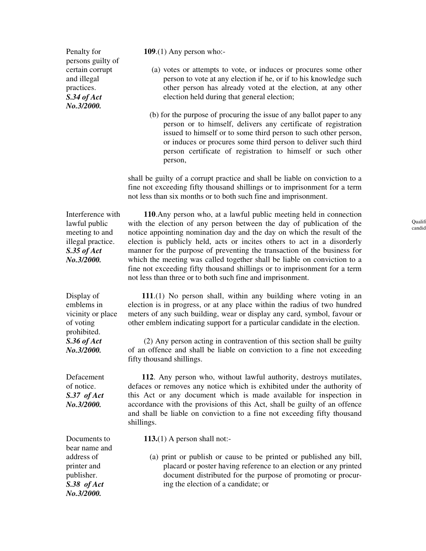Penalty for persons guilty of certain corrupt and illegal practices. *S.34 of Act No.3/2000.*

**109**.(1) Any person who:-

- (a) votes or attempts to vote, or induces or procures some other person to vote at any election if he, or if to his knowledge such other person has already voted at the election, at any other election held during that general election;
- (b) for the purpose of procuring the issue of any ballot paper to any person or to himself, delivers any certificate of registration issued to himself or to some third person to such other person, or induces or procures some third person to deliver such third person certificate of registration to himself or such other person,

shall be guilty of a corrupt practice and shall be liable on conviction to a fine not exceeding fifty thousand shillings or to imprisonment for a term not less than six months or to both such fine and imprisonment.

Interference with lawful public meeting to and illegal practice. *S.35 of Act No.3/2000.* 

 **110**.Any person who, at a lawful public meeting held in connection with the election of any person between the day of publication of the notice appointing nomination day and the day on which the result of the election is publicly held, acts or incites others to act in a disorderly manner for the purpose of preventing the transaction of the business for which the meeting was called together shall be liable on conviction to a fine not exceeding fifty thousand shillings or to imprisonment for a term not less than three or to both such fine and imprisonment.

Display of emblems in vicinity or place of voting prohibited. *S.36 of Act No.3/2000.* 

Defacement of notice. *S.37 of Act No.3/2000.* 

Documents to bear name and address of printer and publisher. *S.38 of Act No.3/2000.* 

 **111**.(1) No person shall, within any building where voting in an election is in progress, or at any place within the radius of two hundred meters of any such building, wear or display any card, symbol, favour or other emblem indicating support for a particular candidate in the election.

 (2) Any person acting in contravention of this section shall be guilty of an offence and shall be liable on conviction to a fine not exceeding fifty thousand shillings.

 **112**. Any person who, without lawful authority, destroys mutilates, defaces or removes any notice which is exhibited under the authority of this Act or any document which is made available for inspection in accordance with the provisions of this Act, shall be guilty of an offence and shall be liable on conviction to a fine not exceeding fifty thousand shillings.

**113.**(1) A person shall not:-

 (a) print or publish or cause to be printed or published any bill, placard or poster having reference to an election or any printed document distributed for the purpose of promoting or procuring the election of a candidate; or

Qualif candid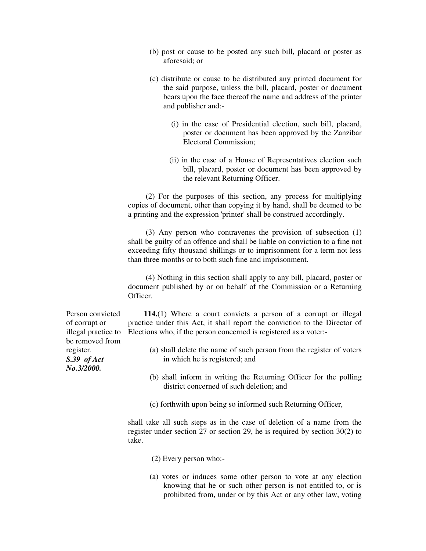- (b) post or cause to be posted any such bill, placard or poster as aforesaid; or
- (c) distribute or cause to be distributed any printed document for the said purpose, unless the bill, placard, poster or document bears upon the face thereof the name and address of the printer and publisher and:-
	- (i) in the case of Presidential election, such bill, placard, poster or document has been approved by the Zanzibar Electoral Commission;
	- (ii) in the case of a House of Representatives election such bill, placard, poster or document has been approved by the relevant Returning Officer.

 (2) For the purposes of this section, any process for multiplying copies of document, other than copying it by hand, shall be deemed to be a printing and the expression 'printer' shall be construed accordingly.

 (3) Any person who contravenes the provision of subsection (1) shall be guilty of an offence and shall be liable on conviction to a fine not exceeding fifty thousand shillings or to imprisonment for a term not less than three months or to both such fine and imprisonment.

 (4) Nothing in this section shall apply to any bill, placard, poster or document published by or on behalf of the Commission or a Returning Officer.

 **114.**(1) Where a court convicts a person of a corrupt or illegal practice under this Act, it shall report the conviction to the Director of Elections who, if the person concerned is registered as a voter:-

- (a) shall delete the name of such person from the register of voters in which he is registered; and
- (b) shall inform in writing the Returning Officer for the polling district concerned of such deletion; and
- (c) forthwith upon being so informed such Returning Officer,

shall take all such steps as in the case of deletion of a name from the register under section 27 or section 29, he is required by section 30(2) to take.

- (2) Every person who:-
- (a) votes or induces some other person to vote at any election knowing that he or such other person is not entitled to, or is prohibited from, under or by this Act or any other law, voting

Person convicted of corrupt or illegal practice to be removed from register. *S.39 of Act No.3/2000.*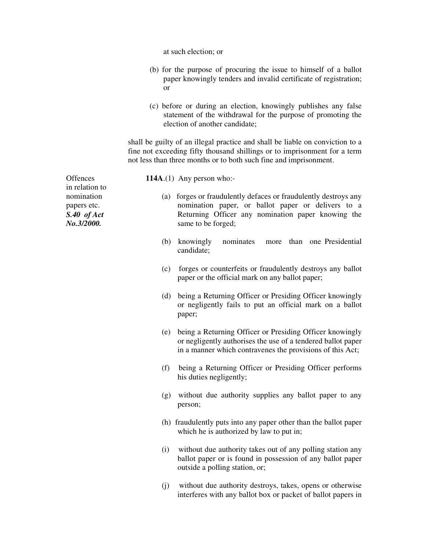at such election; or

- (b) for the purpose of procuring the issue to himself of a ballot paper knowingly tenders and invalid certificate of registration; or
- (c) before or during an election, knowingly publishes any false statement of the withdrawal for the purpose of promoting the election of another candidate;

shall be guilty of an illegal practice and shall be liable on conviction to a fine not exceeding fifty thousand shillings or to imprisonment for a term not less than three months or to both such fine and imprisonment.

- **114A**.(1) Any person who:-
	- (a) forges or fraudulently defaces or fraudulently destroys any nomination paper, or ballot paper or delivers to a Returning Officer any nomination paper knowing the same to be forged;
	- (b) knowingly nominates more than one Presidential candidate;
	- (c) forges or counterfeits or fraudulently destroys any ballot paper or the official mark on any ballot paper;
	- (d) being a Returning Officer or Presiding Officer knowingly or negligently fails to put an official mark on a ballot paper;
	- (e) being a Returning Officer or Presiding Officer knowingly or negligently authorises the use of a tendered ballot paper in a manner which contravenes the provisions of this Act;
	- (f) being a Returning Officer or Presiding Officer performs his duties negligently;
	- (g) without due authority supplies any ballot paper to any person;
	- (h) fraudulently puts into any paper other than the ballot paper which he is authorized by law to put in;
	- (i) without due authority takes out of any polling station any ballot paper or is found in possession of any ballot paper outside a polling station, or;
	- (j) without due authority destroys, takes, opens or otherwise interferes with any ballot box or packet of ballot papers in

**Offences** in relation to nomination papers etc. *S.40 of Act No.3/2000.*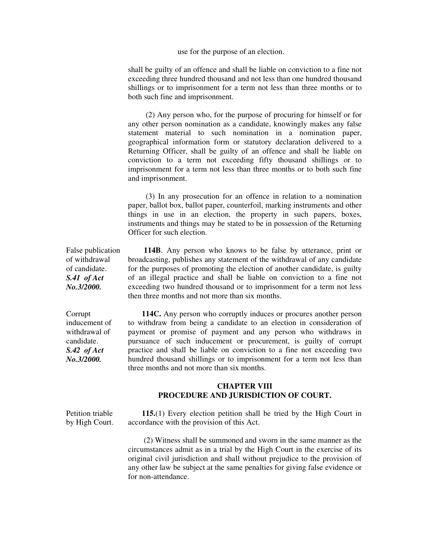use for the purpose of an election.

shall be guilty of an offence and shall be liable on conviction to a fine not exceeding three hundred thousand and not less than one hundred thousand shillings or to imprisonment for a term not less than three months or to both such fine and imprisonment.

 (2) Any person who, for the purpose of procuring for himself or for any other person nomination as a candidate, knowingly makes any false statement material to such nomination in a nomination paper, geographical information form or statutory declaration delivered to a Returning Officer, shall be guilty of an offence and shall be liable on conviction to a term not exceeding fifty thousand shillings or to imprisonment for a term not less than three months or to both such fine and imprisonment.

 (3) In any prosecution for an offence in relation to a nomination paper, ballot box, ballot paper, counterfoil, marking instruments and other things in use in an election, the property in such papers, boxes, instruments and things may be stated to be in possession of the Returning Officer for such election.

False publication **114B**. Any person who knows to be false by utterance, print or broadcasting, publishes any statement of the withdrawal of any candidate for the purposes of promoting the election of another candidate, is guilty of an illegal practice and shall be liable on conviction to a fine not exceeding two hundred thousand or to imprisonment for a term not less then three months and not more than six months.

Corrupt inducement of withdrawal of candidate. *S.42 of Act No.3/2000.* 

of withdrawal of candidate. *S.41 of Act No.3/2000.* 

> **114C.** Any person who corruptly induces or procures another person to withdraw from being a candidate to an election in consideration of payment or promise of payment and any person who withdraws in pursuance of such inducement or procurement, is guilty of corrupt practice and shall be liable on conviction to a fine not exceeding two hundred thousand shillings or to imprisonment for a term not less than three months and not more than six months.

# **CHAPTER VIII PROCEDURE AND JURISDICTION OF COURT.**

Petition triable by High Court.

 **115.**(1) Every election petition shall be tried by the High Court in accordance with the provision of this Act.

 (2) Witness shall be summoned and sworn in the same manner as the circumstances admit as in a trial by the High Court in the exercise of its original civil jurisdiction and shall without prejudice to the provision of any other law be subject at the same penalties for giving false evidence or for non-attendance.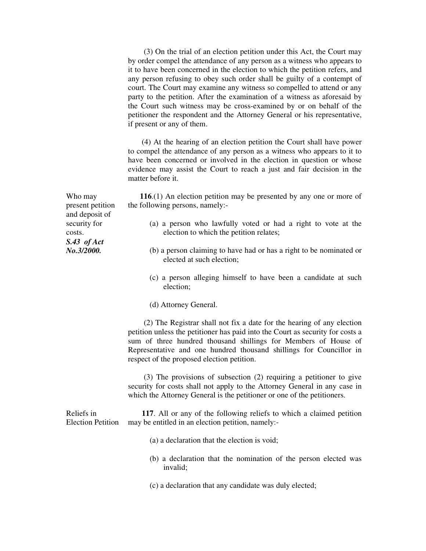(3) On the trial of an election petition under this Act, the Court may by order compel the attendance of any person as a witness who appears to it to have been concerned in the election to which the petition refers, and any person refusing to obey such order shall be guilty of a contempt of court. The Court may examine any witness so compelled to attend or any party to the petition. After the examination of a witness as aforesaid by the Court such witness may be cross-examined by or on behalf of the petitioner the respondent and the Attorney General or his representative, if present or any of them.

 (4) At the hearing of an election petition the Court shall have power to compel the attendance of any person as a witness who appears to it to have been concerned or involved in the election in question or whose evidence may assist the Court to reach a just and fair decision in the matter before it

 **116**.(1) An election petition may be presented by any one or more of the following persons, namely:-

- (a) a person who lawfully voted or had a right to vote at the election to which the petition relates;
- (b) a person claiming to have had or has a right to be nominated or elected at such election;
- (c) a person alleging himself to have been a candidate at such election;
- (d) Attorney General.

 (2) The Registrar shall not fix a date for the hearing of any election petition unless the petitioner has paid into the Court as security for costs a sum of three hundred thousand shillings for Members of House of Representative and one hundred thousand shillings for Councillor in respect of the proposed election petition.

 (3) The provisions of subsection (2) requiring a petitioner to give security for costs shall not apply to the Attorney General in any case in which the Attorney General is the petitioner or one of the petitioners.

Reliefs in Election Petition **117**. All or any of the following reliefs to which a claimed petition may be entitled in an election petition, namely:-

- (a) a declaration that the election is void;
- (b) a declaration that the nomination of the person elected was invalid;
- (c) a declaration that any candidate was duly elected;

Who may present petition and deposit of security for costs. *S.43 of Act No.3/2000.*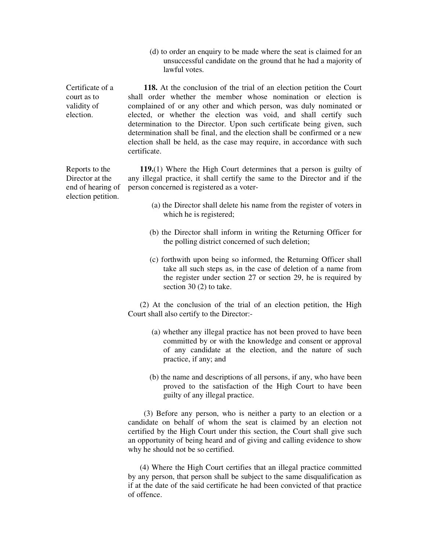(d) to order an enquiry to be made where the seat is claimed for an unsuccessful candidate on the ground that he had a majority of lawful votes.

Certificate of a court as to validity of election. **118.** At the conclusion of the trial of an election petition the Court shall order whether the member whose nomination or election is complained of or any other and which person, was duly nominated or elected, or whether the election was void, and shall certify such determination to the Director. Upon such certificate being given, such determination shall be final, and the election shall be confirmed or a new election shall be held, as the case may require, in accordance with such certificate.

> **119.**(1) Where the High Court determines that a person is guilty of any illegal practice, it shall certify the same to the Director and if the person concerned is registered as a voter-

- (a) the Director shall delete his name from the register of voters in which he is registered;
- (b) the Director shall inform in writing the Returning Officer for the polling district concerned of such deletion;
- (c) forthwith upon being so informed, the Returning Officer shall take all such steps as, in the case of deletion of a name from the register under section 27 or section 29, he is required by section 30 (2) to take.

 (2) At the conclusion of the trial of an election petition, the High Court shall also certify to the Director:-

- (a) whether any illegal practice has not been proved to have been committed by or with the knowledge and consent or approval of any candidate at the election, and the nature of such practice, if any; and
- (b) the name and descriptions of all persons, if any, who have been proved to the satisfaction of the High Court to have been guilty of any illegal practice.

 (3) Before any person, who is neither a party to an election or a candidate on behalf of whom the seat is claimed by an election not certified by the High Court under this section, the Court shall give such an opportunity of being heard and of giving and calling evidence to show why he should not be so certified.

 (4) Where the High Court certifies that an illegal practice committed by any person, that person shall be subject to the same disqualification as if at the date of the said certificate he had been convicted of that practice of offence.

Reports to the Director at the end of hearing of election petition.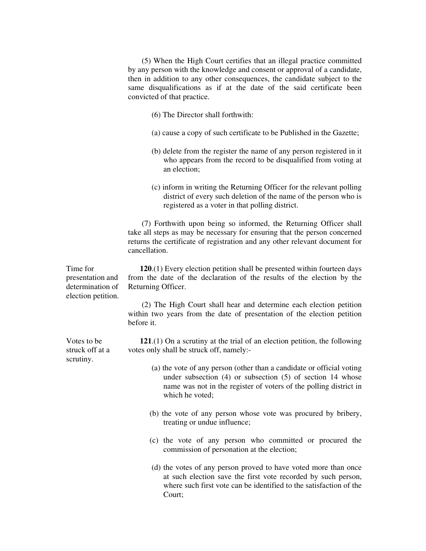(5) When the High Court certifies that an illegal practice committed by any person with the knowledge and consent or approval of a candidate, then in addition to any other consequences, the candidate subject to the same disqualifications as if at the date of the said certificate been convicted of that practice.

- (6) The Director shall forthwith:
- (a) cause a copy of such certificate to be Published in the Gazette;
- (b) delete from the register the name of any person registered in it who appears from the record to be disqualified from voting at an election;
- (c) inform in writing the Returning Officer for the relevant polling district of every such deletion of the name of the person who is registered as a voter in that polling district.

 (7) Forthwith upon being so informed, the Returning Officer shall take all steps as may be necessary for ensuring that the person concerned returns the certificate of registration and any other relevant document for cancellation.

 **120**.(1) Every election petition shall be presented within fourteen days from the date of the declaration of the results of the election by the Returning Officer.

 (2) The High Court shall hear and determine each election petition within two years from the date of presentation of the election petition before it.

 **121**.(1) On a scrutiny at the trial of an election petition, the following votes only shall be struck off, namely:-

- (a) the vote of any person (other than a candidate or official voting under subsection (4) or subsection (5) of section 14 whose name was not in the register of voters of the polling district in which he voted;
- (b) the vote of any person whose vote was procured by bribery, treating or undue influence;
- (c) the vote of any person who committed or procured the commission of personation at the election;
- (d) the votes of any person proved to have voted more than once at such election save the first vote recorded by such person, where such first vote can be identified to the satisfaction of the Court;

Time for presentation and determination of election petition.

Votes to be struck off at a scrutiny.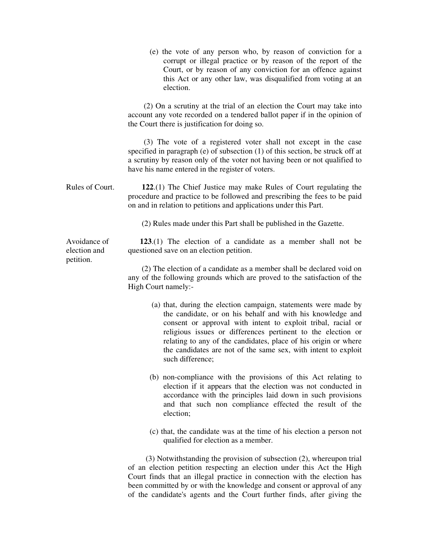|                              | (e) the vote of any person who, by reason of conviction for a<br>corrupt or illegal practice or by reason of the report of the<br>Court, or by reason of any conviction for an offence against<br>this Act or any other law, was disqualified from voting at an<br>election.                                                                                                                                           |
|------------------------------|------------------------------------------------------------------------------------------------------------------------------------------------------------------------------------------------------------------------------------------------------------------------------------------------------------------------------------------------------------------------------------------------------------------------|
|                              | (2) On a scrutiny at the trial of an election the Court may take into<br>account any vote recorded on a tendered ballot paper if in the opinion of<br>the Court there is justification for doing so.                                                                                                                                                                                                                   |
|                              | (3) The vote of a registered voter shall not except in the case<br>specified in paragraph (e) of subsection (1) of this section, be struck off at<br>a scrutiny by reason only of the voter not having been or not qualified to<br>have his name entered in the register of voters.                                                                                                                                    |
| Rules of Court.              | 122.(1) The Chief Justice may make Rules of Court regulating the<br>procedure and practice to be followed and prescribing the fees to be paid<br>on and in relation to petitions and applications under this Part.                                                                                                                                                                                                     |
|                              | (2) Rules made under this Part shall be published in the Gazette.                                                                                                                                                                                                                                                                                                                                                      |
| Avoidance of<br>election and | $123(1)$ The election of a candidate as a member shall not be<br>questioned save on an election petition.                                                                                                                                                                                                                                                                                                              |
| petition.                    | (2) The election of a candidate as a member shall be declared void on<br>any of the following grounds which are proved to the satisfaction of the<br>High Court namely:-                                                                                                                                                                                                                                               |
|                              | (a) that, during the election campaign, statements were made by<br>the candidate, or on his behalf and with his knowledge and<br>consent or approval with intent to exploit tribal, racial or<br>religious issues or differences pertinent to the election or<br>relating to any of the candidates, place of his origin or where<br>the candidates are not of the same sex, with intent to exploit<br>such difference; |
|                              | (b) non-compliance with the provisions of this Act relating to<br>$\mathcal{A}$ and $\mathcal{B}$ is a subsequently denoted by $\mathcal{A}$ and $\mathcal{B}$ and $\mathcal{B}$ are denoted by                                                                                                                                                                                                                        |

- election if it appears that the election was not conducted in accordance with the principles laid down in such provisions and that such non compliance effected the result of the election;
- (c) that, the candidate was at the time of his election a person not qualified for election as a member.

 (3) Notwithstanding the provision of subsection (2), whereupon trial of an election petition respecting an election under this Act the High Court finds that an illegal practice in connection with the election has been committed by or with the knowledge and consent or approval of any of the candidate's agents and the Court further finds, after giving the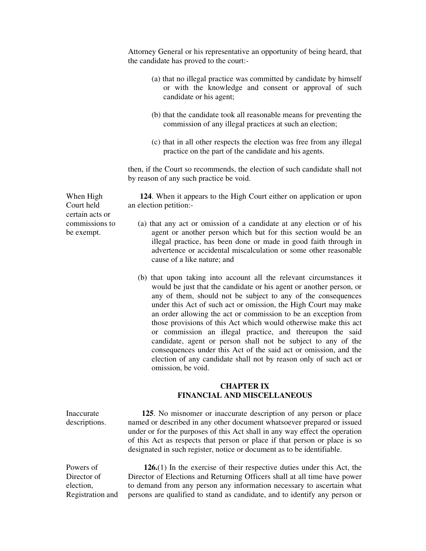Attorney General or his representative an opportunity of being heard, that the candidate has proved to the court:-

- (a) that no illegal practice was committed by candidate by himself or with the knowledge and consent or approval of such candidate or his agent;
- (b) that the candidate took all reasonable means for preventing the commission of any illegal practices at such an election;
- (c) that in all other respects the election was free from any illegal practice on the part of the candidate and his agents.

then, if the Court so recommends, the election of such candidate shall not by reason of any such practice be void.

 **124**. When it appears to the High Court either on application or upon an election petition:-

- (a) that any act or omission of a candidate at any election or of his agent or another person which but for this section would be an illegal practice, has been done or made in good faith through in advertence or accidental miscalculation or some other reasonable cause of a like nature; and
- (b) that upon taking into account all the relevant circumstances it would be just that the candidate or his agent or another person, or any of them, should not be subject to any of the consequences under this Act of such act or omission, the High Court may make an order allowing the act or commission to be an exception from those provisions of this Act which would otherwise make this act or commission an illegal practice, and thereupon the said candidate, agent or person shall not be subject to any of the consequences under this Act of the said act or omission, and the election of any candidate shall not by reason only of such act or omission, be void.

# **CHAPTER IX FINANCIAL AND MISCELLANEOUS**

Inaccurate descriptions.  **125**. No misnomer or inaccurate description of any person or place named or described in any other document whatsoever prepared or issued under or for the purposes of this Act shall in any way effect the operation of this Act as respects that person or place if that person or place is so designated in such register, notice or document as to be identifiable.

Powers of Director of election, Registration and **126.**(1) In the exercise of their respective duties under this Act, the Director of Elections and Returning Officers shall at all time have power to demand from any person any information necessary to ascertain what persons are qualified to stand as candidate, and to identify any person or

When High Court held certain acts or commissions to be exempt.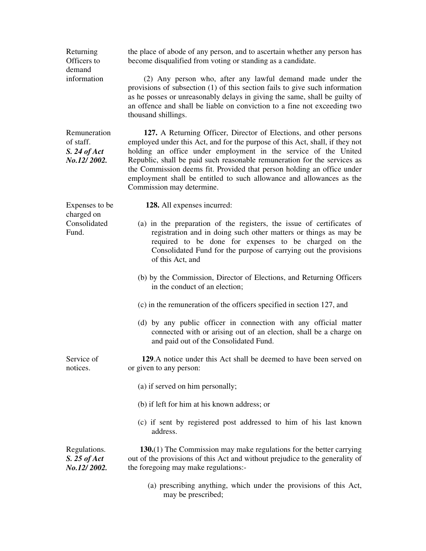| Returning<br>Officers to<br>demand                         | the place of abode of any person, and to ascertain whether any person has<br>become disqualified from voting or standing as a candidate.                                                                                                                                                                                                                                                                                                                                         |
|------------------------------------------------------------|----------------------------------------------------------------------------------------------------------------------------------------------------------------------------------------------------------------------------------------------------------------------------------------------------------------------------------------------------------------------------------------------------------------------------------------------------------------------------------|
| information                                                | (2) Any person who, after any lawful demand made under the<br>provisions of subsection (1) of this section fails to give such information<br>as he posses or unreasonably delays in giving the same, shall be guilty of<br>an offence and shall be liable on conviction to a fine not exceeding two<br>thousand shillings.                                                                                                                                                       |
| Remuneration<br>of staff.<br>$S. 24$ of Act<br>No.12/2002. | 127. A Returning Officer, Director of Elections, and other persons<br>employed under this Act, and for the purpose of this Act, shall, if they not<br>holding an office under employment in the service of the United<br>Republic, shall be paid such reasonable remuneration for the services as<br>the Commission deems fit. Provided that person holding an office under<br>employment shall be entitled to such allowance and allowances as the<br>Commission may determine. |
| Expenses to be<br>charged on                               | 128. All expenses incurred:                                                                                                                                                                                                                                                                                                                                                                                                                                                      |
| Consolidated<br>Fund.                                      | (a) in the preparation of the registers, the issue of certificates of<br>registration and in doing such other matters or things as may be<br>required to be done for expenses to be charged on the<br>Consolidated Fund for the purpose of carrying out the provisions<br>of this Act, and                                                                                                                                                                                       |
|                                                            | (b) by the Commission, Director of Elections, and Returning Officers<br>in the conduct of an election;                                                                                                                                                                                                                                                                                                                                                                           |
|                                                            | (c) in the remuneration of the officers specified in section 127, and                                                                                                                                                                                                                                                                                                                                                                                                            |
|                                                            | (d) by any public officer in connection with any official matter<br>connected with or arising out of an election, shall be a charge on<br>and paid out of the Consolidated Fund.                                                                                                                                                                                                                                                                                                 |
| Service of<br>notices.                                     | 129.A notice under this Act shall be deemed to have been served on<br>or given to any person:                                                                                                                                                                                                                                                                                                                                                                                    |
|                                                            | (a) if served on him personally;                                                                                                                                                                                                                                                                                                                                                                                                                                                 |
|                                                            | (b) if left for him at his known address; or                                                                                                                                                                                                                                                                                                                                                                                                                                     |
|                                                            | (c) if sent by registered post addressed to him of his last known<br>address.                                                                                                                                                                                                                                                                                                                                                                                                    |
| Regulations.<br>$S. 25$ of Act<br>No.12/2002.              | 130.(1) The Commission may make regulations for the better carrying<br>out of the provisions of this Act and without prejudice to the generality of<br>the foregoing may make regulations:-                                                                                                                                                                                                                                                                                      |
|                                                            | (a) prescribing anything, which under the provisions of this Act,<br>may be prescribed;                                                                                                                                                                                                                                                                                                                                                                                          |